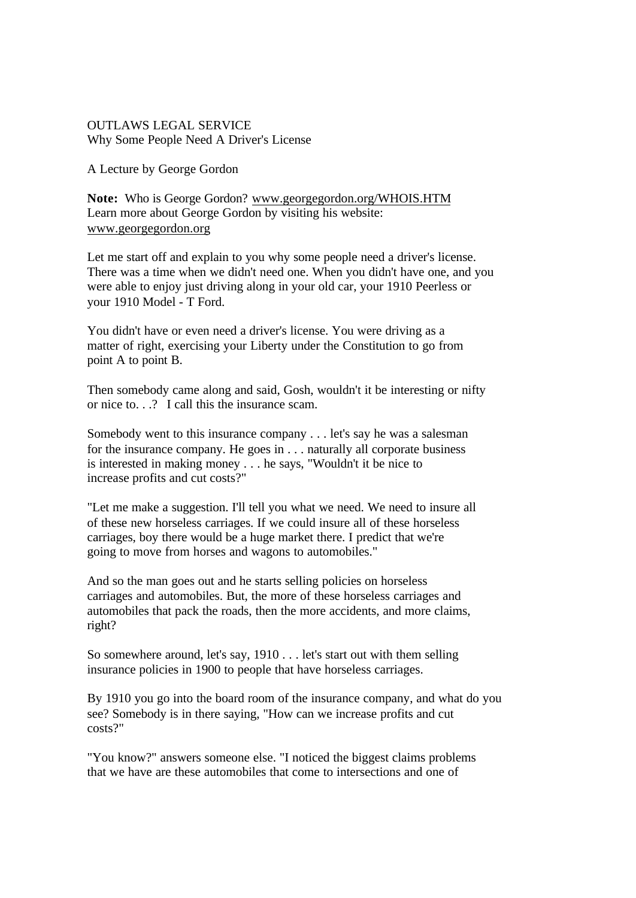## OUTLAWS LEGAL SERVICE Why Some People Need A Driver's License

A Lecture by George Gordon

**Note:** Who is George Gordon? www.georgegordon.org/WHOIS.HTM Learn more about George Gordon by visiting his website: www.georgegordon.org

Let me start off and explain to you why some people need a driver's license. There was a time when we didn't need one. When you didn't have one, and you were able to enjoy just driving along in your old car, your 1910 Peerless or your 1910 Model - T Ford.

You didn't have or even need a driver's license. You were driving as a matter of right, exercising your Liberty under the Constitution to go from point A to point B.

Then somebody came along and said, Gosh, wouldn't it be interesting or nifty or nice to  $\frac{1}{2}$ . I call this the insurance scam.

Somebody went to this insurance company . . . let's say he was a salesman for the insurance company. He goes in . . . naturally all corporate business is interested in making money . . . he says, "Wouldn't it be nice to increase profits and cut costs?"

"Let me make a suggestion. I'll tell you what we need. We need to insure all of these new horseless carriages. If we could insure all of these horseless carriages, boy there would be a huge market there. I predict that we're going to move from horses and wagons to automobiles."

And so the man goes out and he starts selling policies on horseless carriages and automobiles. But, the more of these horseless carriages and automobiles that pack the roads, then the more accidents, and more claims, right?

So somewhere around, let's say, 1910 . . . let's start out with them selling insurance policies in 1900 to people that have horseless carriages.

By 1910 you go into the board room of the insurance company, and what do you see? Somebody is in there saying, "How can we increase profits and cut costs?"

"You know?" answers someone else. "I noticed the biggest claims problems that we have are these automobiles that come to intersections and one of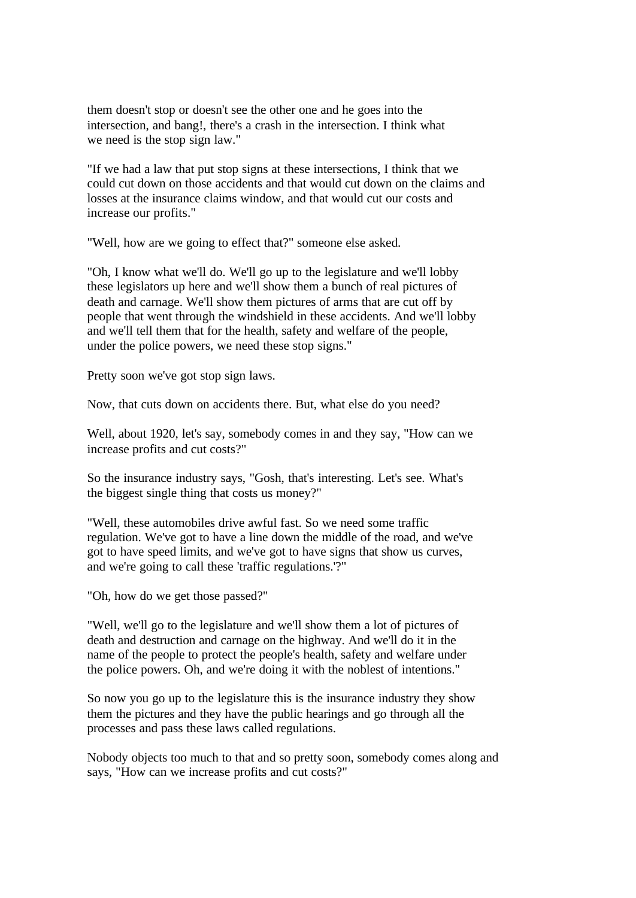them doesn't stop or doesn't see the other one and he goes into the intersection, and bang!, there's a crash in the intersection. I think what we need is the stop sign law."

"If we had a law that put stop signs at these intersections, I think that we could cut down on those accidents and that would cut down on the claims and losses at the insurance claims window, and that would cut our costs and increase our profits."

"Well, how are we going to effect that?" someone else asked.

"Oh, I know what we'll do. We'll go up to the legislature and we'll lobby these legislators up here and we'll show them a bunch of real pictures of death and carnage. We'll show them pictures of arms that are cut off by people that went through the windshield in these accidents. And we'll lobby and we'll tell them that for the health, safety and welfare of the people, under the police powers, we need these stop signs."

Pretty soon we've got stop sign laws.

Now, that cuts down on accidents there. But, what else do you need?

Well, about 1920, let's say, somebody comes in and they say, "How can we increase profits and cut costs?"

So the insurance industry says, "Gosh, that's interesting. Let's see. What's the biggest single thing that costs us money?"

"Well, these automobiles drive awful fast. So we need some traffic regulation. We've got to have a line down the middle of the road, and we've got to have speed limits, and we've got to have signs that show us curves, and we're going to call these 'traffic regulations.'?"

"Oh, how do we get those passed?"

"Well, we'll go to the legislature and we'll show them a lot of pictures of death and destruction and carnage on the highway. And we'll do it in the name of the people to protect the people's health, safety and welfare under the police powers. Oh, and we're doing it with the noblest of intentions."

So now you go up to the legislature this is the insurance industry they show them the pictures and they have the public hearings and go through all the processes and pass these laws called regulations.

Nobody objects too much to that and so pretty soon, somebody comes along and says, "How can we increase profits and cut costs?"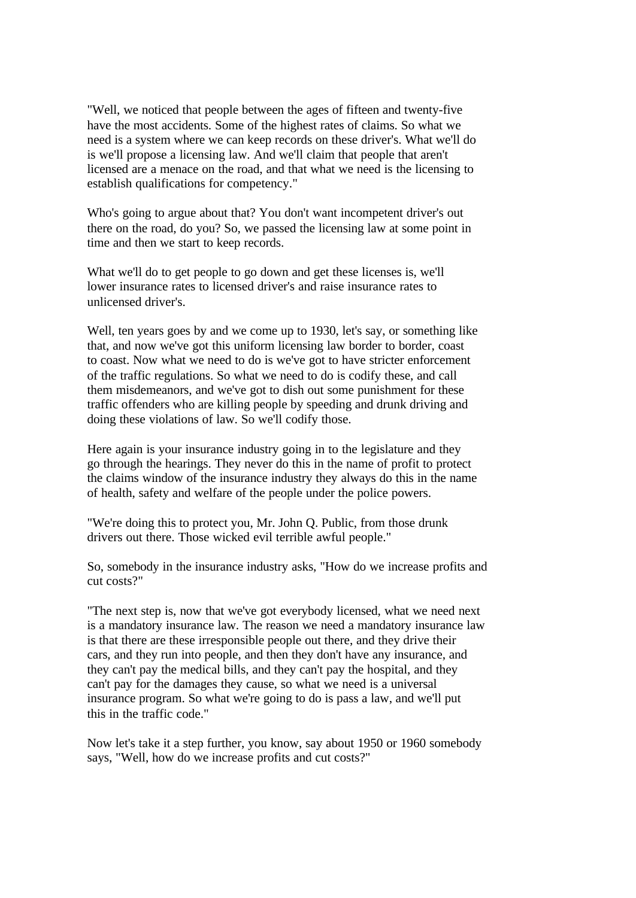"Well, we noticed that people between the ages of fifteen and twenty-five have the most accidents. Some of the highest rates of claims. So what we need is a system where we can keep records on these driver's. What we'll do is we'll propose a licensing law. And we'll claim that people that aren't licensed are a menace on the road, and that what we need is the licensing to establish qualifications for competency."

Who's going to argue about that? You don't want incompetent driver's out there on the road, do you? So, we passed the licensing law at some point in time and then we start to keep records.

What we'll do to get people to go down and get these licenses is, we'll lower insurance rates to licensed driver's and raise insurance rates to unlicensed driver's.

Well, ten years goes by and we come up to 1930, let's say, or something like that, and now we've got this uniform licensing law border to border, coast to coast. Now what we need to do is we've got to have stricter enforcement of the traffic regulations. So what we need to do is codify these, and call them misdemeanors, and we've got to dish out some punishment for these traffic offenders who are killing people by speeding and drunk driving and doing these violations of law. So we'll codify those.

Here again is your insurance industry going in to the legislature and they go through the hearings. They never do this in the name of profit to protect the claims window of the insurance industry they always do this in the name of health, safety and welfare of the people under the police powers.

"We're doing this to protect you, Mr. John Q. Public, from those drunk drivers out there. Those wicked evil terrible awful people."

So, somebody in the insurance industry asks, "How do we increase profits and cut costs?"

"The next step is, now that we've got everybody licensed, what we need next is a mandatory insurance law. The reason we need a mandatory insurance law is that there are these irresponsible people out there, and they drive their cars, and they run into people, and then they don't have any insurance, and they can't pay the medical bills, and they can't pay the hospital, and they can't pay for the damages they cause, so what we need is a universal insurance program. So what we're going to do is pass a law, and we'll put this in the traffic code."

Now let's take it a step further, you know, say about 1950 or 1960 somebody says, "Well, how do we increase profits and cut costs?"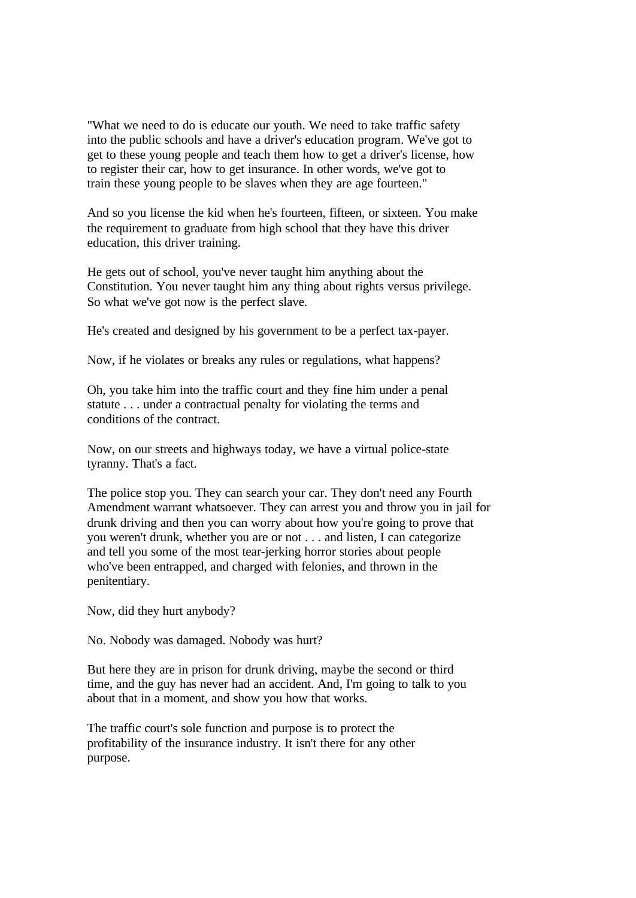"What we need to do is educate our youth. We need to take traffic safety into the public schools and have a driver's education program. We've got to get to these young people and teach them how to get a driver's license, how to register their car, how to get insurance. In other words, we've got to train these young people to be slaves when they are age fourteen."

And so you license the kid when he's fourteen, fifteen, or sixteen. You make the requirement to graduate from high school that they have this driver education, this driver training.

He gets out of school, you've never taught him anything about the Constitution. You never taught him any thing about rights versus privilege. So what we've got now is the perfect slave.

He's created and designed by his government to be a perfect tax-payer.

Now, if he violates or breaks any rules or regulations, what happens?

Oh, you take him into the traffic court and they fine him under a penal statute . . . under a contractual penalty for violating the terms and conditions of the contract.

Now, on our streets and highways today, we have a virtual police-state tyranny. That's a fact.

The police stop you. They can search your car. They don't need any Fourth Amendment warrant whatsoever. They can arrest you and throw you in jail for drunk driving and then you can worry about how you're going to prove that you weren't drunk, whether you are or not . . . and listen, I can categorize and tell you some of the most tear-jerking horror stories about people who've been entrapped, and charged with felonies, and thrown in the penitentiary.

Now, did they hurt anybody?

No. Nobody was damaged. Nobody was hurt?

But here they are in prison for drunk driving, maybe the second or third time, and the guy has never had an accident. And, I'm going to talk to you about that in a moment, and show you how that works.

The traffic court's sole function and purpose is to protect the profitability of the insurance industry. It isn't there for any other purpose.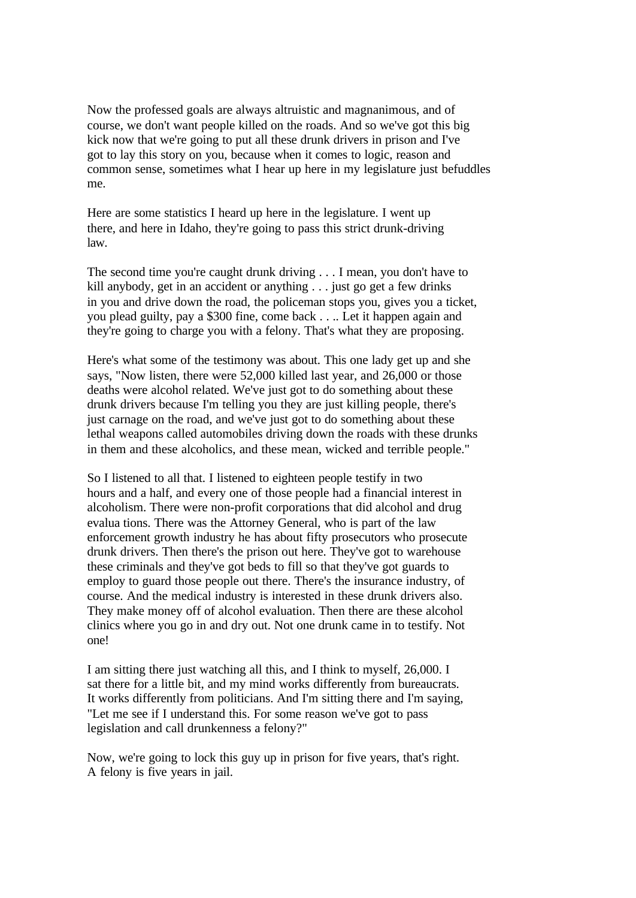Now the professed goals are always altruistic and magnanimous, and of course, we don't want people killed on the roads. And so we've got this big kick now that we're going to put all these drunk drivers in prison and I've got to lay this story on you, because when it comes to logic, reason and common sense, sometimes what I hear up here in my legislature just befuddles me.

Here are some statistics I heard up here in the legislature. I went up there, and here in Idaho, they're going to pass this strict drunk-driving law.

The second time you're caught drunk driving . . . I mean, you don't have to kill anybody, get in an accident or anything . . . just go get a few drinks in you and drive down the road, the policeman stops you, gives you a ticket, you plead guilty, pay a \$300 fine, come back . . .. Let it happen again and they're going to charge you with a felony. That's what they are proposing.

Here's what some of the testimony was about. This one lady get up and she says, "Now listen, there were 52,000 killed last year, and 26,000 or those deaths were alcohol related. We've just got to do something about these drunk drivers because I'm telling you they are just killing people, there's just carnage on the road, and we've just got to do something about these lethal weapons called automobiles driving down the roads with these drunks in them and these alcoholics, and these mean, wicked and terrible people."

So I listened to all that. I listened to eighteen people testify in two hours and a half, and every one of those people had a financial interest in alcoholism. There were non-profit corporations that did alcohol and drug evalua tions. There was the Attorney General, who is part of the law enforcement growth industry he has about fifty prosecutors who prosecute drunk drivers. Then there's the prison out here. They've got to warehouse these criminals and they've got beds to fill so that they've got guards to employ to guard those people out there. There's the insurance industry, of course. And the medical industry is interested in these drunk drivers also. They make money off of alcohol evaluation. Then there are these alcohol clinics where you go in and dry out. Not one drunk came in to testify. Not one!

I am sitting there just watching all this, and I think to myself, 26,000. I sat there for a little bit, and my mind works differently from bureaucrats. It works differently from politicians. And I'm sitting there and I'm saying, "Let me see if I understand this. For some reason we've got to pass legislation and call drunkenness a felony?"

Now, we're going to lock this guy up in prison for five years, that's right. A felony is five years in jail.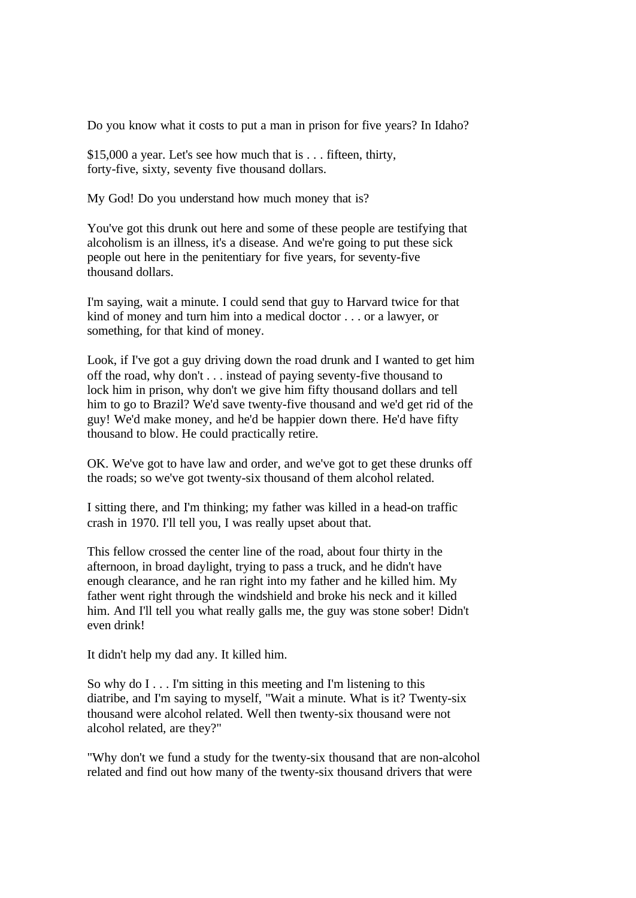Do you know what it costs to put a man in prison for five years? In Idaho?

\$15,000 a year. Let's see how much that is . . . fifteen, thirty, forty-five, sixty, seventy five thousand dollars.

My God! Do you understand how much money that is?

You've got this drunk out here and some of these people are testifying that alcoholism is an illness, it's a disease. And we're going to put these sick people out here in the penitentiary for five years, for seventy-five thousand dollars.

I'm saying, wait a minute. I could send that guy to Harvard twice for that kind of money and turn him into a medical doctor . . . or a lawyer, or something, for that kind of money.

Look, if I've got a guy driving down the road drunk and I wanted to get him off the road, why don't . . . instead of paying seventy-five thousand to lock him in prison, why don't we give him fifty thousand dollars and tell him to go to Brazil? We'd save twenty-five thousand and we'd get rid of the guy! We'd make money, and he'd be happier down there. He'd have fifty thousand to blow. He could practically retire.

OK. We've got to have law and order, and we've got to get these drunks off the roads; so we've got twenty-six thousand of them alcohol related.

I sitting there, and I'm thinking; my father was killed in a head-on traffic crash in 1970. I'll tell you, I was really upset about that.

This fellow crossed the center line of the road, about four thirty in the afternoon, in broad daylight, trying to pass a truck, and he didn't have enough clearance, and he ran right into my father and he killed him. My father went right through the windshield and broke his neck and it killed him. And I'll tell you what really galls me, the guy was stone sober! Didn't even drink!

It didn't help my dad any. It killed him.

So why do  $I \dots I'm$  sitting in this meeting and I'm listening to this diatribe, and I'm saying to myself, "Wait a minute. What is it? Twenty-six thousand were alcohol related. Well then twenty-six thousand were not alcohol related, are they?"

"Why don't we fund a study for the twenty-six thousand that are non-alcohol related and find out how many of the twenty-six thousand drivers that were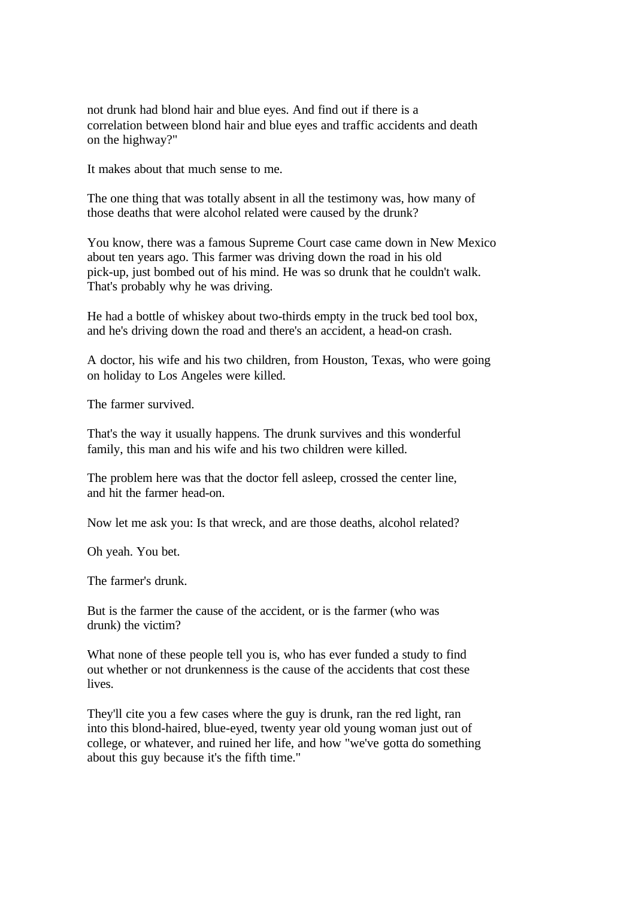not drunk had blond hair and blue eyes. And find out if there is a correlation between blond hair and blue eyes and traffic accidents and death on the highway?"

It makes about that much sense to me.

The one thing that was totally absent in all the testimony was, how many of those deaths that were alcohol related were caused by the drunk?

You know, there was a famous Supreme Court case came down in New Mexico about ten years ago. This farmer was driving down the road in his old pick-up, just bombed out of his mind. He was so drunk that he couldn't walk. That's probably why he was driving.

He had a bottle of whiskey about two-thirds empty in the truck bed tool box, and he's driving down the road and there's an accident, a head-on crash.

A doctor, his wife and his two children, from Houston, Texas, who were going on holiday to Los Angeles were killed.

The farmer survived.

That's the way it usually happens. The drunk survives and this wonderful family, this man and his wife and his two children were killed.

The problem here was that the doctor fell asleep, crossed the center line, and hit the farmer head-on.

Now let me ask you: Is that wreck, and are those deaths, alcohol related?

Oh yeah. You bet.

The farmer's drunk.

But is the farmer the cause of the accident, or is the farmer (who was drunk) the victim?

What none of these people tell you is, who has ever funded a study to find out whether or not drunkenness is the cause of the accidents that cost these lives.

They'll cite you a few cases where the guy is drunk, ran the red light, ran into this blond-haired, blue-eyed, twenty year old young woman just out of college, or whatever, and ruined her life, and how "we've gotta do something about this guy because it's the fifth time."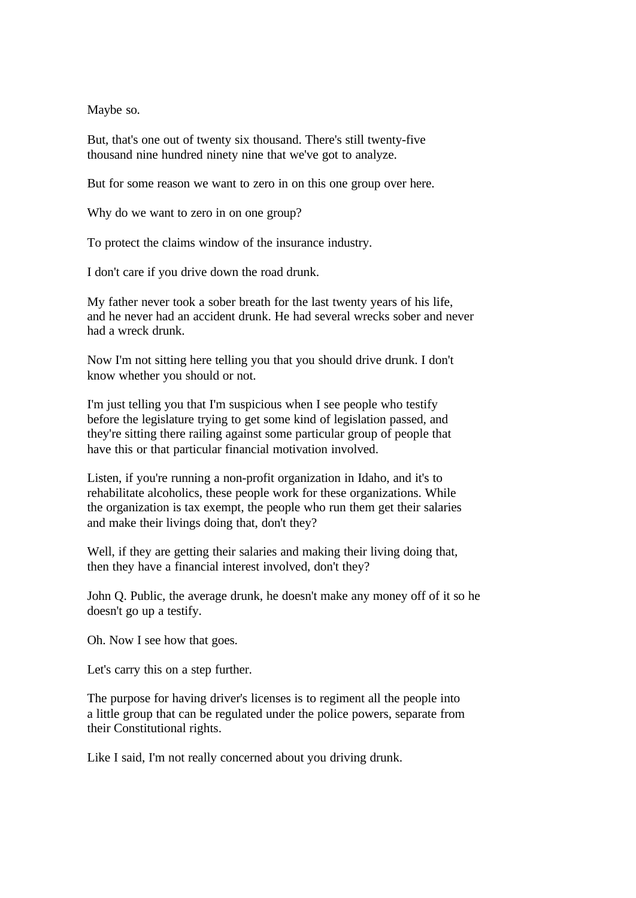Maybe so.

But, that's one out of twenty six thousand. There's still twenty-five thousand nine hundred ninety nine that we've got to analyze.

But for some reason we want to zero in on this one group over here.

Why do we want to zero in on one group?

To protect the claims window of the insurance industry.

I don't care if you drive down the road drunk.

My father never took a sober breath for the last twenty years of his life, and he never had an accident drunk. He had several wrecks sober and never had a wreck drunk.

Now I'm not sitting here telling you that you should drive drunk. I don't know whether you should or not.

I'm just telling you that I'm suspicious when I see people who testify before the legislature trying to get some kind of legislation passed, and they're sitting there railing against some particular group of people that have this or that particular financial motivation involved.

Listen, if you're running a non-profit organization in Idaho, and it's to rehabilitate alcoholics, these people work for these organizations. While the organization is tax exempt, the people who run them get their salaries and make their livings doing that, don't they?

Well, if they are getting their salaries and making their living doing that, then they have a financial interest involved, don't they?

John Q. Public, the average drunk, he doesn't make any money off of it so he doesn't go up a testify.

Oh. Now I see how that goes.

Let's carry this on a step further.

The purpose for having driver's licenses is to regiment all the people into a little group that can be regulated under the police powers, separate from their Constitutional rights.

Like I said, I'm not really concerned about you driving drunk.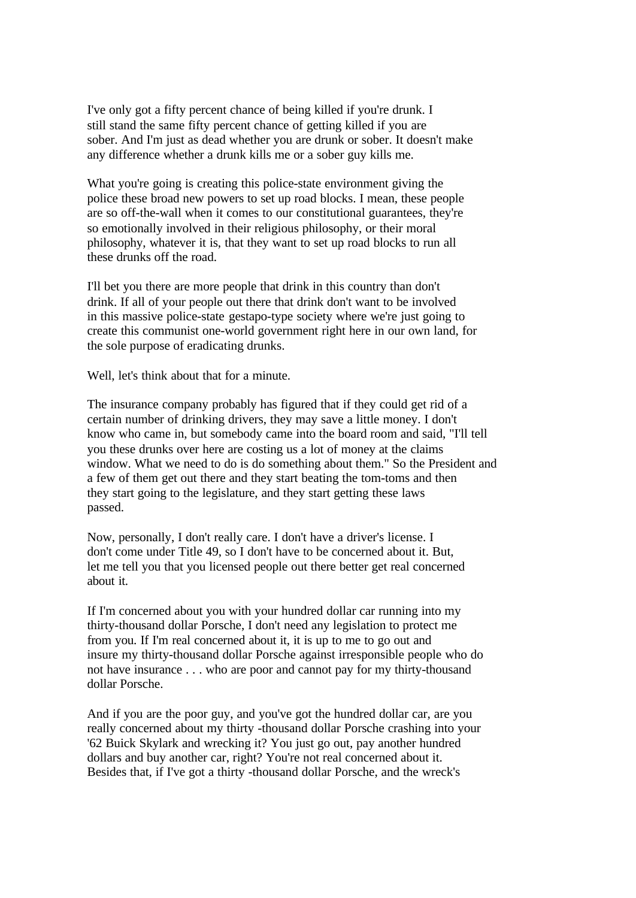I've only got a fifty percent chance of being killed if you're drunk. I still stand the same fifty percent chance of getting killed if you are sober. And I'm just as dead whether you are drunk or sober. It doesn't make any difference whether a drunk kills me or a sober guy kills me.

What you're going is creating this police-state environment giving the police these broad new powers to set up road blocks. I mean, these people are so off-the-wall when it comes to our constitutional guarantees, they're so emotionally involved in their religious philosophy, or their moral philosophy, whatever it is, that they want to set up road blocks to run all these drunks off the road.

I'll bet you there are more people that drink in this country than don't drink. If all of your people out there that drink don't want to be involved in this massive police-state gestapo-type society where we're just going to create this communist one-world government right here in our own land, for the sole purpose of eradicating drunks.

Well, let's think about that for a minute.

The insurance company probably has figured that if they could get rid of a certain number of drinking drivers, they may save a little money. I don't know who came in, but somebody came into the board room and said, "I'll tell you these drunks over here are costing us a lot of money at the claims window. What we need to do is do something about them." So the President and a few of them get out there and they start beating the tom-toms and then they start going to the legislature, and they start getting these laws passed.

Now, personally, I don't really care. I don't have a driver's license. I don't come under Title 49, so I don't have to be concerned about it. But, let me tell you that you licensed people out there better get real concerned about it.

If I'm concerned about you with your hundred dollar car running into my thirty-thousand dollar Porsche, I don't need any legislation to protect me from you. If I'm real concerned about it, it is up to me to go out and insure my thirty-thousand dollar Porsche against irresponsible people who do not have insurance . . . who are poor and cannot pay for my thirty-thousand dollar Porsche.

And if you are the poor guy, and you've got the hundred dollar car, are you really concerned about my thirty -thousand dollar Porsche crashing into your '62 Buick Skylark and wrecking it? You just go out, pay another hundred dollars and buy another car, right? You're not real concerned about it. Besides that, if I've got a thirty -thousand dollar Porsche, and the wreck's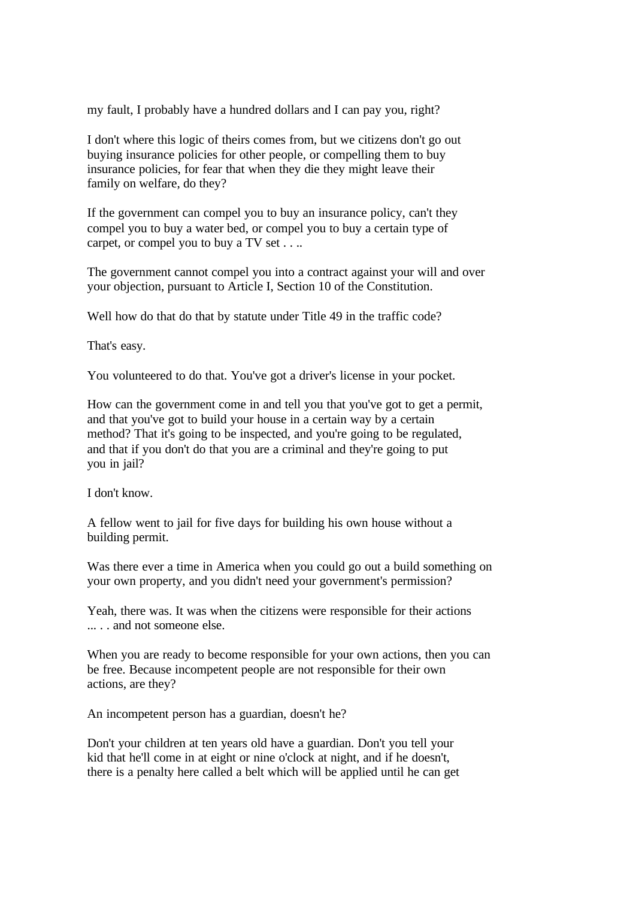my fault, I probably have a hundred dollars and I can pay you, right?

I don't where this logic of theirs comes from, but we citizens don't go out buying insurance policies for other people, or compelling them to buy insurance policies, for fear that when they die they might leave their family on welfare, do they?

If the government can compel you to buy an insurance policy, can't they compel you to buy a water bed, or compel you to buy a certain type of carpet, or compel you to buy a TV set . . ..

The government cannot compel you into a contract against your will and over your objection, pursuant to Article I, Section 10 of the Constitution.

Well how do that do that by statute under Title 49 in the traffic code?

That's easy.

You volunteered to do that. You've got a driver's license in your pocket.

How can the government come in and tell you that you've got to get a permit, and that you've got to build your house in a certain way by a certain method? That it's going to be inspected, and you're going to be regulated, and that if you don't do that you are a criminal and they're going to put you in jail?

I don't know.

A fellow went to jail for five days for building his own house without a building permit.

Was there ever a time in America when you could go out a build something on your own property, and you didn't need your government's permission?

Yeah, there was. It was when the citizens were responsible for their actions .... and not someone else.

When you are ready to become responsible for your own actions, then you can be free. Because incompetent people are not responsible for their own actions, are they?

An incompetent person has a guardian, doesn't he?

Don't your children at ten years old have a guardian. Don't you tell your kid that he'll come in at eight or nine o'clock at night, and if he doesn't, there is a penalty here called a belt which will be applied until he can get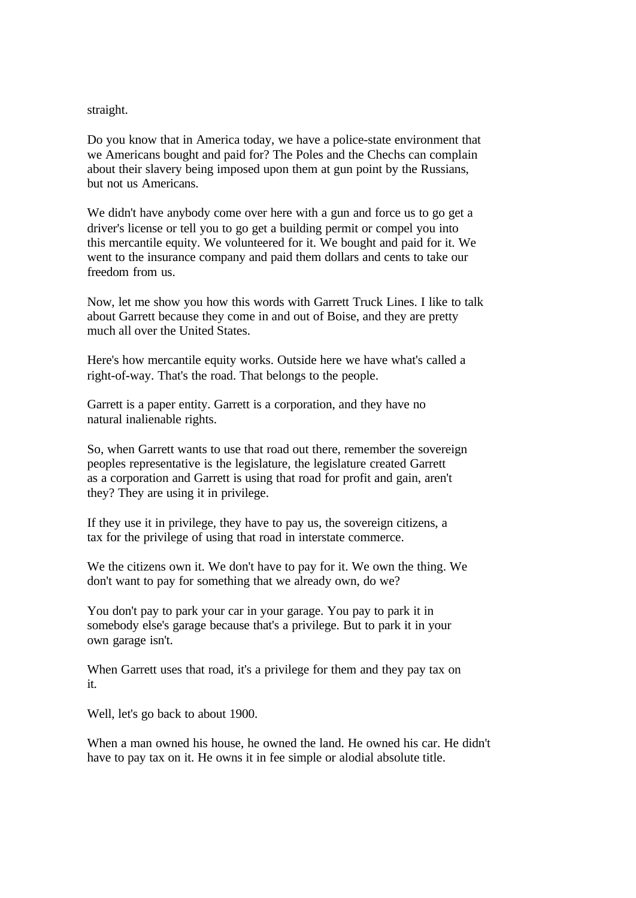## straight.

Do you know that in America today, we have a police-state environment that we Americans bought and paid for? The Poles and the Chechs can complain about their slavery being imposed upon them at gun point by the Russians, but not us Americans.

We didn't have anybody come over here with a gun and force us to go get a driver's license or tell you to go get a building permit or compel you into this mercantile equity. We volunteered for it. We bought and paid for it. We went to the insurance company and paid them dollars and cents to take our freedom from us.

Now, let me show you how this words with Garrett Truck Lines. I like to talk about Garrett because they come in and out of Boise, and they are pretty much all over the United States.

Here's how mercantile equity works. Outside here we have what's called a right-of-way. That's the road. That belongs to the people.

Garrett is a paper entity. Garrett is a corporation, and they have no natural inalienable rights.

So, when Garrett wants to use that road out there, remember the sovereign peoples representative is the legislature, the legislature created Garrett as a corporation and Garrett is using that road for profit and gain, aren't they? They are using it in privilege.

If they use it in privilege, they have to pay us, the sovereign citizens, a tax for the privilege of using that road in interstate commerce.

We the citizens own it. We don't have to pay for it. We own the thing. We don't want to pay for something that we already own, do we?

You don't pay to park your car in your garage. You pay to park it in somebody else's garage because that's a privilege. But to park it in your own garage isn't.

When Garrett uses that road, it's a privilege for them and they pay tax on it.

Well, let's go back to about 1900.

When a man owned his house, he owned the land. He owned his car. He didn't have to pay tax on it. He owns it in fee simple or alodial absolute title.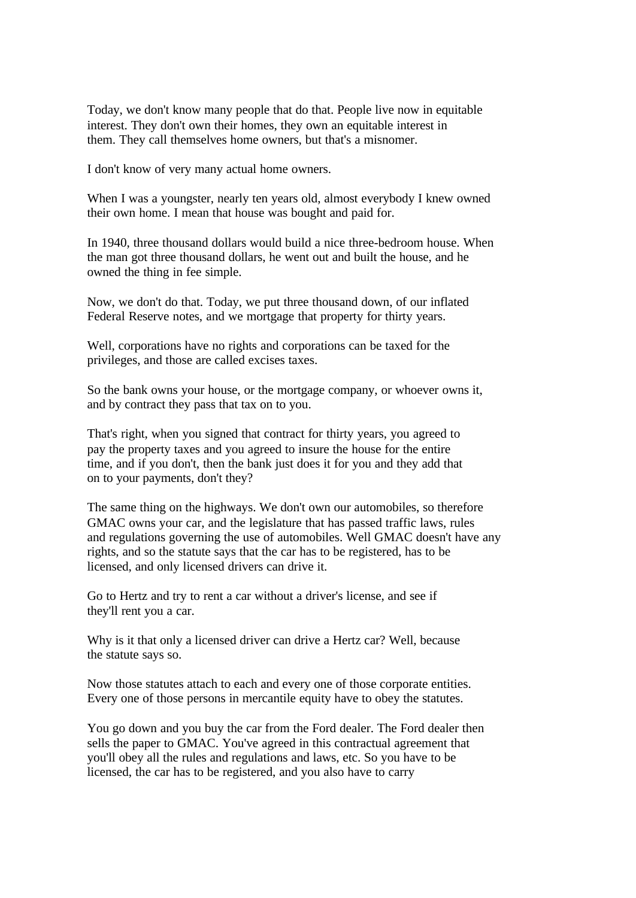Today, we don't know many people that do that. People live now in equitable interest. They don't own their homes, they own an equitable interest in them. They call themselves home owners, but that's a misnomer.

I don't know of very many actual home owners.

When I was a youngster, nearly ten years old, almost everybody I knew owned their own home. I mean that house was bought and paid for.

In 1940, three thousand dollars would build a nice three-bedroom house. When the man got three thousand dollars, he went out and built the house, and he owned the thing in fee simple.

Now, we don't do that. Today, we put three thousand down, of our inflated Federal Reserve notes, and we mortgage that property for thirty years.

Well, corporations have no rights and corporations can be taxed for the privileges, and those are called excises taxes.

So the bank owns your house, or the mortgage company, or whoever owns it, and by contract they pass that tax on to you.

That's right, when you signed that contract for thirty years, you agreed to pay the property taxes and you agreed to insure the house for the entire time, and if you don't, then the bank just does it for you and they add that on to your payments, don't they?

The same thing on the highways. We don't own our automobiles, so therefore GMAC owns your car, and the legislature that has passed traffic laws, rules and regulations governing the use of automobiles. Well GMAC doesn't have any rights, and so the statute says that the car has to be registered, has to be licensed, and only licensed drivers can drive it.

Go to Hertz and try to rent a car without a driver's license, and see if they'll rent you a car.

Why is it that only a licensed driver can drive a Hertz car? Well, because the statute says so.

Now those statutes attach to each and every one of those corporate entities. Every one of those persons in mercantile equity have to obey the statutes.

You go down and you buy the car from the Ford dealer. The Ford dealer then sells the paper to GMAC. You've agreed in this contractual agreement that you'll obey all the rules and regulations and laws, etc. So you have to be licensed, the car has to be registered, and you also have to carry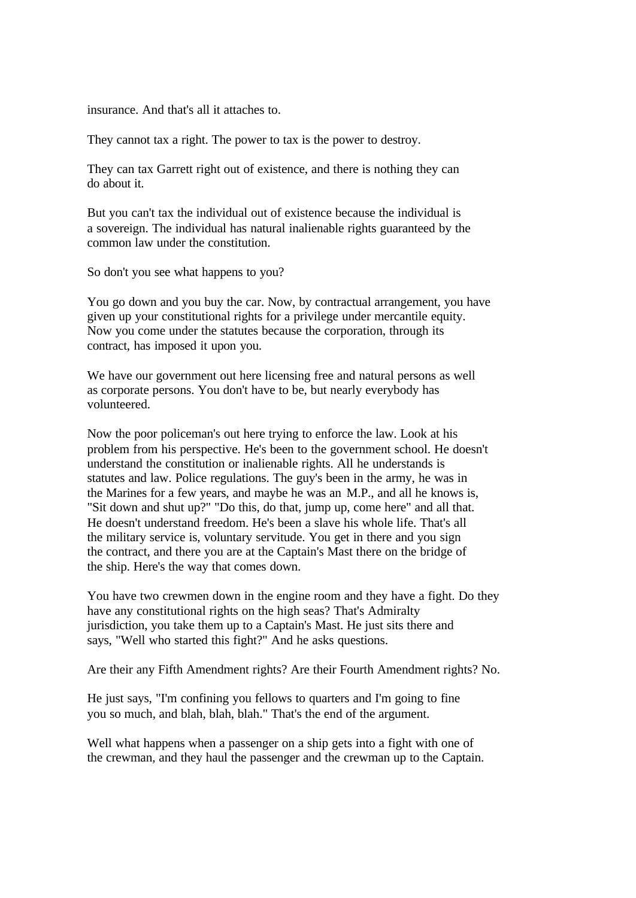insurance. And that's all it attaches to.

They cannot tax a right. The power to tax is the power to destroy.

They can tax Garrett right out of existence, and there is nothing they can do about it.

But you can't tax the individual out of existence because the individual is a sovereign. The individual has natural inalienable rights guaranteed by the common law under the constitution.

So don't you see what happens to you?

You go down and you buy the car. Now, by contractual arrangement, you have given up your constitutional rights for a privilege under mercantile equity. Now you come under the statutes because the corporation, through its contract, has imposed it upon you.

We have our government out here licensing free and natural persons as well as corporate persons. You don't have to be, but nearly everybody has volunteered.

Now the poor policeman's out here trying to enforce the law. Look at his problem from his perspective. He's been to the government school. He doesn't understand the constitution or inalienable rights. All he understands is statutes and law. Police regulations. The guy's been in the army, he was in the Marines for a few years, and maybe he was an M.P., and all he knows is, "Sit down and shut up?" "Do this, do that, jump up, come here" and all that. He doesn't understand freedom. He's been a slave his whole life. That's all the military service is, voluntary servitude. You get in there and you sign the contract, and there you are at the Captain's Mast there on the bridge of the ship. Here's the way that comes down.

You have two crewmen down in the engine room and they have a fight. Do they have any constitutional rights on the high seas? That's Admiralty jurisdiction, you take them up to a Captain's Mast. He just sits there and says, "Well who started this fight?" And he asks questions.

Are their any Fifth Amendment rights? Are their Fourth Amendment rights? No.

He just says, "I'm confining you fellows to quarters and I'm going to fine you so much, and blah, blah, blah." That's the end of the argument.

Well what happens when a passenger on a ship gets into a fight with one of the crewman, and they haul the passenger and the crewman up to the Captain.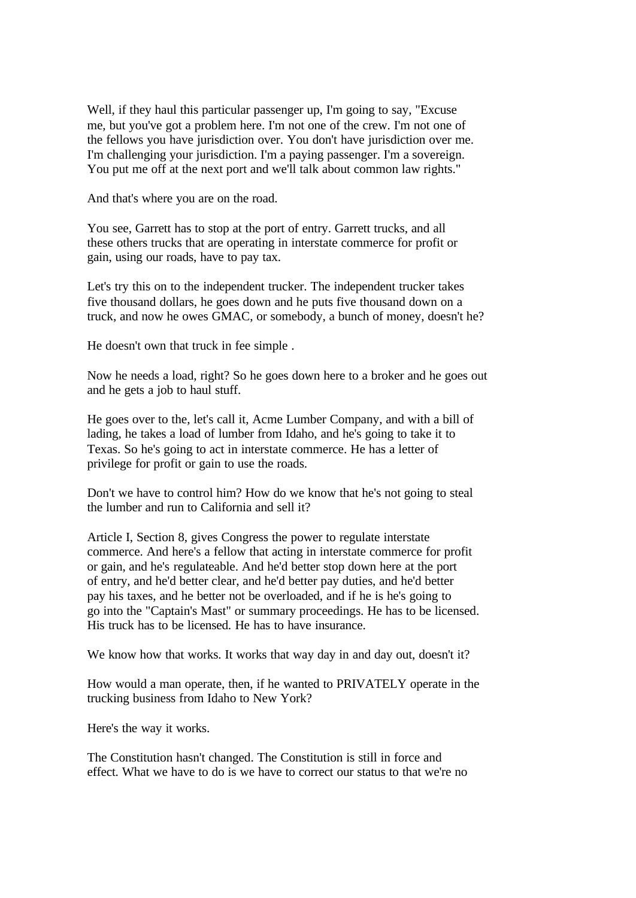Well, if they haul this particular passenger up, I'm going to say, "Excuse me, but you've got a problem here. I'm not one of the crew. I'm not one of the fellows you have jurisdiction over. You don't have jurisdiction over me. I'm challenging your jurisdiction. I'm a paying passenger. I'm a sovereign. You put me off at the next port and we'll talk about common law rights."

And that's where you are on the road.

You see, Garrett has to stop at the port of entry. Garrett trucks, and all these others trucks that are operating in interstate commerce for profit or gain, using our roads, have to pay tax.

Let's try this on to the independent trucker. The independent trucker takes five thousand dollars, he goes down and he puts five thousand down on a truck, and now he owes GMAC, or somebody, a bunch of money, doesn't he?

He doesn't own that truck in fee simple .

Now he needs a load, right? So he goes down here to a broker and he goes out and he gets a job to haul stuff.

He goes over to the, let's call it, Acme Lumber Company, and with a bill of lading, he takes a load of lumber from Idaho, and he's going to take it to Texas. So he's going to act in interstate commerce. He has a letter of privilege for profit or gain to use the roads.

Don't we have to control him? How do we know that he's not going to steal the lumber and run to California and sell it?

Article I, Section 8, gives Congress the power to regulate interstate commerce. And here's a fellow that acting in interstate commerce for profit or gain, and he's regulateable. And he'd better stop down here at the port of entry, and he'd better clear, and he'd better pay duties, and he'd better pay his taxes, and he better not be overloaded, and if he is he's going to go into the "Captain's Mast" or summary proceedings. He has to be licensed. His truck has to be licensed. He has to have insurance.

We know how that works. It works that way day in and day out, doesn't it?

How would a man operate, then, if he wanted to PRIVATELY operate in the trucking business from Idaho to New York?

Here's the way it works.

The Constitution hasn't changed. The Constitution is still in force and effect. What we have to do is we have to correct our status to that we're no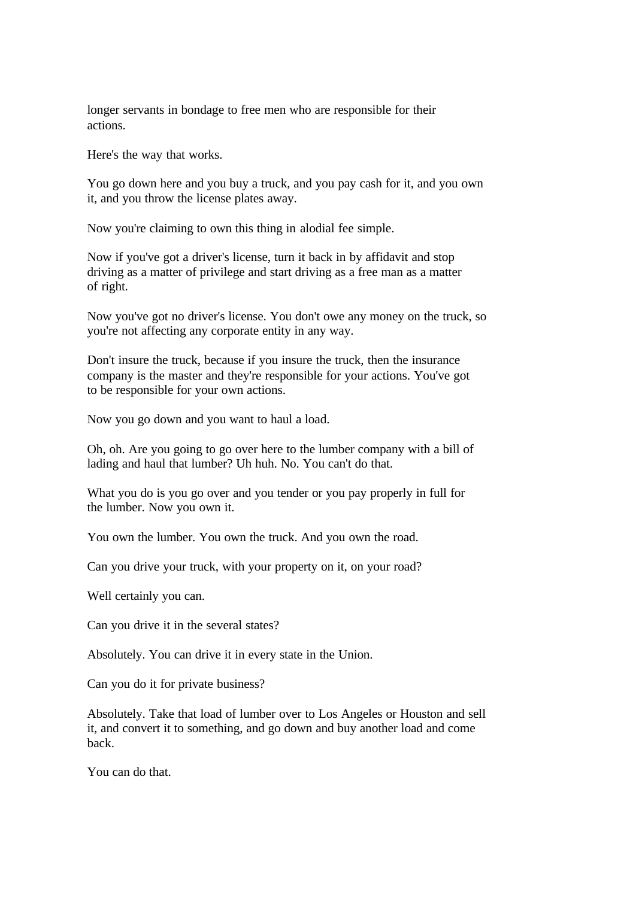longer servants in bondage to free men who are responsible for their actions.

Here's the way that works.

You go down here and you buy a truck, and you pay cash for it, and you own it, and you throw the license plates away.

Now you're claiming to own this thing in alodial fee simple.

Now if you've got a driver's license, turn it back in by affidavit and stop driving as a matter of privilege and start driving as a free man as a matter of right.

Now you've got no driver's license. You don't owe any money on the truck, so you're not affecting any corporate entity in any way.

Don't insure the truck, because if you insure the truck, then the insurance company is the master and they're responsible for your actions. You've got to be responsible for your own actions.

Now you go down and you want to haul a load.

Oh, oh. Are you going to go over here to the lumber company with a bill of lading and haul that lumber? Uh huh. No. You can't do that.

What you do is you go over and you tender or you pay properly in full for the lumber. Now you own it.

You own the lumber. You own the truck. And you own the road.

Can you drive your truck, with your property on it, on your road?

Well certainly you can.

Can you drive it in the several states?

Absolutely. You can drive it in every state in the Union.

Can you do it for private business?

Absolutely. Take that load of lumber over to Los Angeles or Houston and sell it, and convert it to something, and go down and buy another load and come back.

You can do that.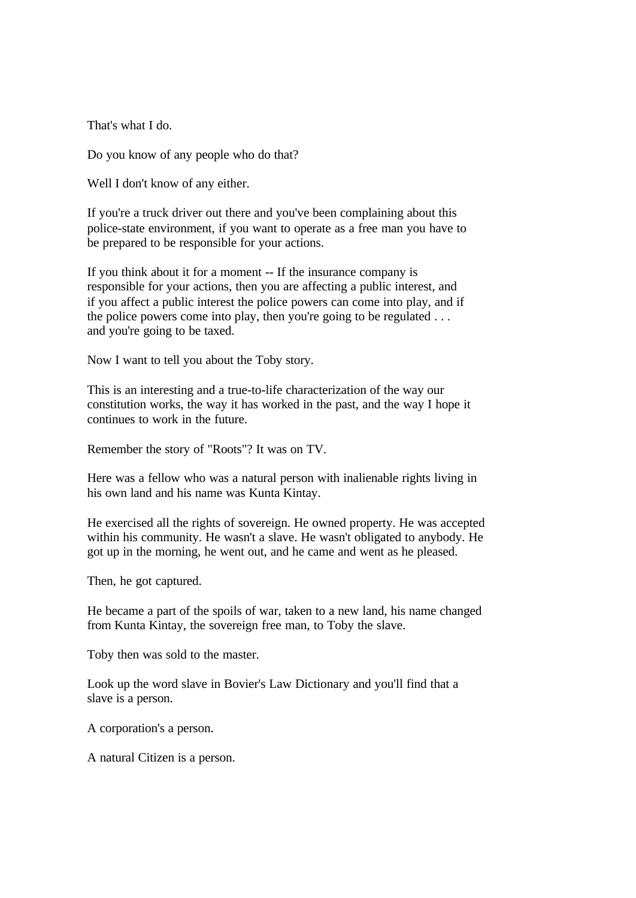That's what I do.

Do you know of any people who do that?

Well I don't know of any either.

If you're a truck driver out there and you've been complaining about this police-state environment, if you want to operate as a free man you have to be prepared to be responsible for your actions.

If you think about it for a moment -- If the insurance company is responsible for your actions, then you are affecting a public interest, and if you affect a public interest the police powers can come into play, and if the police powers come into play, then you're going to be regulated  $\dots$ and you're going to be taxed.

Now I want to tell you about the Toby story.

This is an interesting and a true-to-life characterization of the way our constitution works, the way it has worked in the past, and the way I hope it continues to work in the future.

Remember the story of "Roots"? It was on TV.

Here was a fellow who was a natural person with inalienable rights living in his own land and his name was Kunta Kintay.

He exercised all the rights of sovereign. He owned property. He was accepted within his community. He wasn't a slave. He wasn't obligated to anybody. He got up in the morning, he went out, and he came and went as he pleased.

Then, he got captured.

He became a part of the spoils of war, taken to a new land, his name changed from Kunta Kintay, the sovereign free man, to Toby the slave.

Toby then was sold to the master.

Look up the word slave in Bovier's Law Dictionary and you'll find that a slave is a person.

A corporation's a person.

A natural Citizen is a person.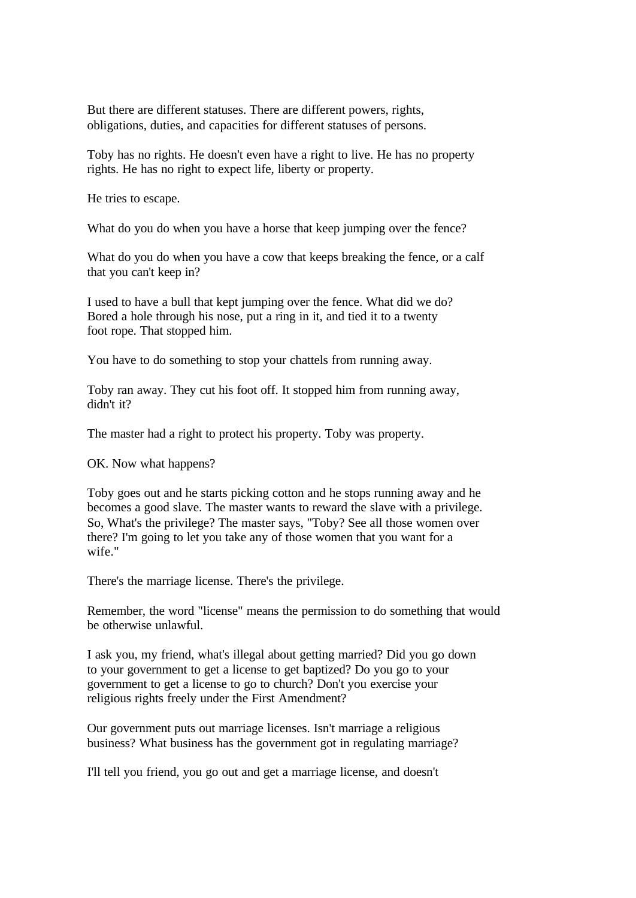But there are different statuses. There are different powers, rights, obligations, duties, and capacities for different statuses of persons.

Toby has no rights. He doesn't even have a right to live. He has no property rights. He has no right to expect life, liberty or property.

He tries to escape.

What do you do when you have a horse that keep jumping over the fence?

What do you do when you have a cow that keeps breaking the fence, or a calf that you can't keep in?

I used to have a bull that kept jumping over the fence. What did we do? Bored a hole through his nose, put a ring in it, and tied it to a twenty foot rope. That stopped him.

You have to do something to stop your chattels from running away.

Toby ran away. They cut his foot off. It stopped him from running away, didn't it?

The master had a right to protect his property. Toby was property.

OK. Now what happens?

Toby goes out and he starts picking cotton and he stops running away and he becomes a good slave. The master wants to reward the slave with a privilege. So, What's the privilege? The master says, "Toby? See all those women over there? I'm going to let you take any of those women that you want for a wife."

There's the marriage license. There's the privilege.

Remember, the word "license" means the permission to do something that would be otherwise unlawful.

I ask you, my friend, what's illegal about getting married? Did you go down to your government to get a license to get baptized? Do you go to your government to get a license to go to church? Don't you exercise your religious rights freely under the First Amendment?

Our government puts out marriage licenses. Isn't marriage a religious business? What business has the government got in regulating marriage?

I'll tell you friend, you go out and get a marriage license, and doesn't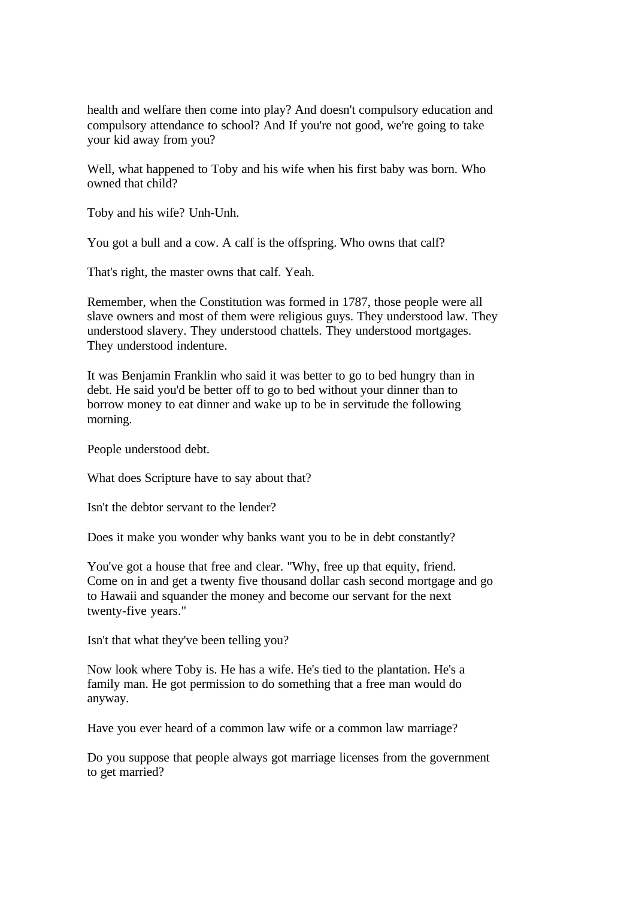health and welfare then come into play? And doesn't compulsory education and compulsory attendance to school? And If you're not good, we're going to take your kid away from you?

Well, what happened to Toby and his wife when his first baby was born. Who owned that child?

Toby and his wife? Unh-Unh.

You got a bull and a cow. A calf is the offspring. Who owns that calf?

That's right, the master owns that calf. Yeah.

Remember, when the Constitution was formed in 1787, those people were all slave owners and most of them were religious guys. They understood law. They understood slavery. They understood chattels. They understood mortgages. They understood indenture.

It was Benjamin Franklin who said it was better to go to bed hungry than in debt. He said you'd be better off to go to bed without your dinner than to borrow money to eat dinner and wake up to be in servitude the following morning.

People understood debt.

What does Scripture have to say about that?

Isn't the debtor servant to the lender?

Does it make you wonder why banks want you to be in debt constantly?

You've got a house that free and clear. "Why, free up that equity, friend. Come on in and get a twenty five thousand dollar cash second mortgage and go to Hawaii and squander the money and become our servant for the next twenty-five years."

Isn't that what they've been telling you?

Now look where Toby is. He has a wife. He's tied to the plantation. He's a family man. He got permission to do something that a free man would do anyway.

Have you ever heard of a common law wife or a common law marriage?

Do you suppose that people always got marriage licenses from the government to get married?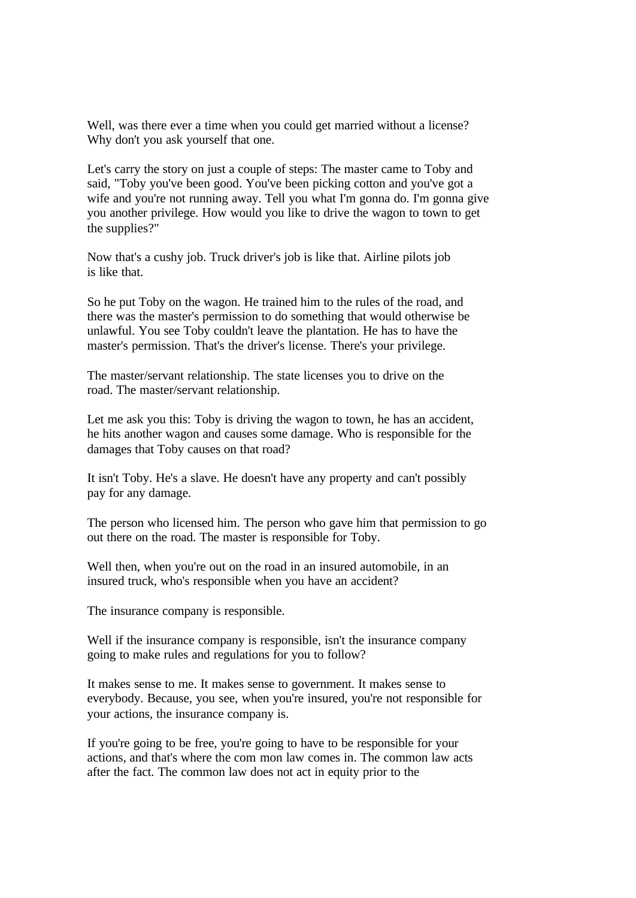Well, was there ever a time when you could get married without a license? Why don't you ask yourself that one.

Let's carry the story on just a couple of steps: The master came to Toby and said, "Toby you've been good. You've been picking cotton and you've got a wife and you're not running away. Tell you what I'm gonna do. I'm gonna give you another privilege. How would you like to drive the wagon to town to get the supplies?"

Now that's a cushy job. Truck driver's job is like that. Airline pilots job is like that.

So he put Toby on the wagon. He trained him to the rules of the road, and there was the master's permission to do something that would otherwise be unlawful. You see Toby couldn't leave the plantation. He has to have the master's permission. That's the driver's license. There's your privilege.

The master/servant relationship. The state licenses you to drive on the road. The master/servant relationship.

Let me ask you this: Toby is driving the wagon to town, he has an accident, he hits another wagon and causes some damage. Who is responsible for the damages that Toby causes on that road?

It isn't Toby. He's a slave. He doesn't have any property and can't possibly pay for any damage.

The person who licensed him. The person who gave him that permission to go out there on the road. The master is responsible for Toby.

Well then, when you're out on the road in an insured automobile, in an insured truck, who's responsible when you have an accident?

The insurance company is responsible.

Well if the insurance company is responsible, isn't the insurance company going to make rules and regulations for you to follow?

It makes sense to me. It makes sense to government. It makes sense to everybody. Because, you see, when you're insured, you're not responsible for your actions, the insurance company is.

If you're going to be free, you're going to have to be responsible for your actions, and that's where the com mon law comes in. The common law acts after the fact. The common law does not act in equity prior to the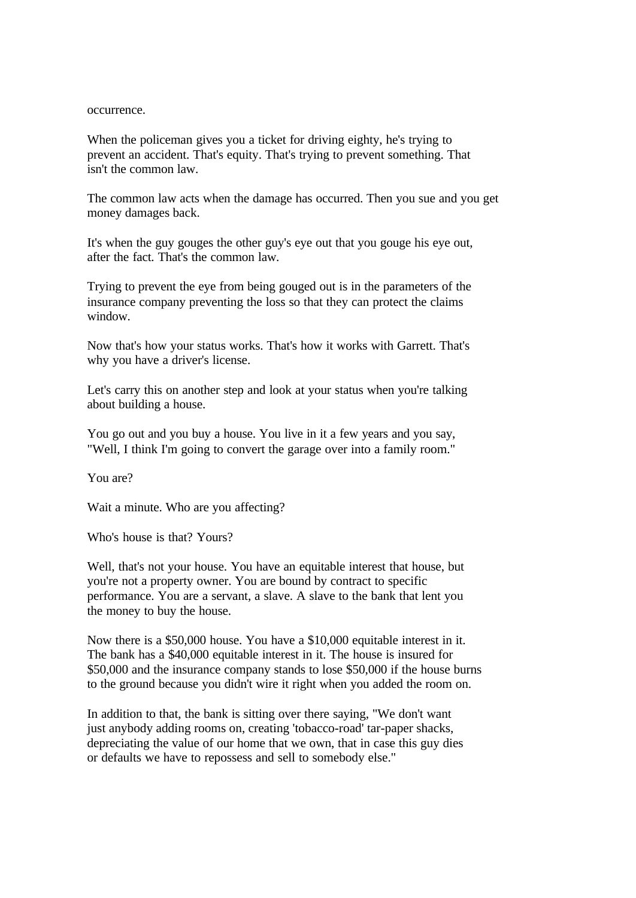## occurrence.

When the policeman gives you a ticket for driving eighty, he's trying to prevent an accident. That's equity. That's trying to prevent something. That isn't the common law.

The common law acts when the damage has occurred. Then you sue and you get money damages back.

It's when the guy gouges the other guy's eye out that you gouge his eye out, after the fact. That's the common law.

Trying to prevent the eye from being gouged out is in the parameters of the insurance company preventing the loss so that they can protect the claims window.

Now that's how your status works. That's how it works with Garrett. That's why you have a driver's license.

Let's carry this on another step and look at your status when you're talking about building a house.

You go out and you buy a house. You live in it a few years and you say, "Well, I think I'm going to convert the garage over into a family room."

You are?

Wait a minute. Who are you affecting?

Who's house is that? Yours?

Well, that's not your house. You have an equitable interest that house, but you're not a property owner. You are bound by contract to specific performance. You are a servant, a slave. A slave to the bank that lent you the money to buy the house.

Now there is a \$50,000 house. You have a \$10,000 equitable interest in it. The bank has a \$40,000 equitable interest in it. The house is insured for \$50,000 and the insurance company stands to lose \$50,000 if the house burns to the ground because you didn't wire it right when you added the room on.

In addition to that, the bank is sitting over there saying, "We don't want just anybody adding rooms on, creating 'tobacco-road' tar-paper shacks, depreciating the value of our home that we own, that in case this guy dies or defaults we have to repossess and sell to somebody else."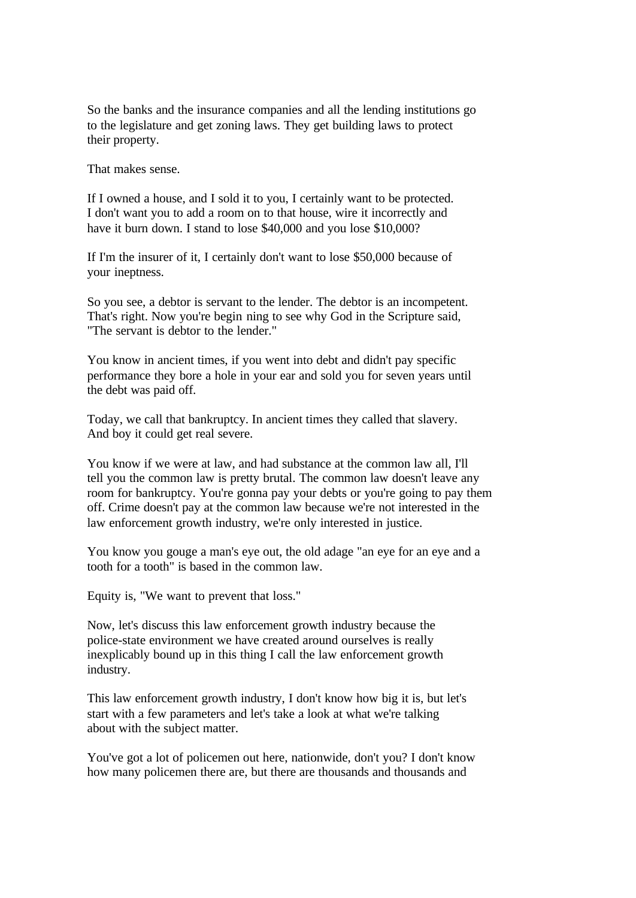So the banks and the insurance companies and all the lending institutions go to the legislature and get zoning laws. They get building laws to protect their property.

That makes sense.

If I owned a house, and I sold it to you, I certainly want to be protected. I don't want you to add a room on to that house, wire it incorrectly and have it burn down. I stand to lose \$40,000 and you lose \$10,000?

If I'm the insurer of it, I certainly don't want to lose \$50,000 because of your ineptness.

So you see, a debtor is servant to the lender. The debtor is an incompetent. That's right. Now you're begin ning to see why God in the Scripture said, "The servant is debtor to the lender."

You know in ancient times, if you went into debt and didn't pay specific performance they bore a hole in your ear and sold you for seven years until the debt was paid off.

Today, we call that bankruptcy. In ancient times they called that slavery. And boy it could get real severe.

You know if we were at law, and had substance at the common law all, I'll tell you the common law is pretty brutal. The common law doesn't leave any room for bankruptcy. You're gonna pay your debts or you're going to pay them off. Crime doesn't pay at the common law because we're not interested in the law enforcement growth industry, we're only interested in justice.

You know you gouge a man's eye out, the old adage "an eye for an eye and a tooth for a tooth" is based in the common law.

Equity is, "We want to prevent that loss."

Now, let's discuss this law enforcement growth industry because the police-state environment we have created around ourselves is really inexplicably bound up in this thing I call the law enforcement growth industry.

This law enforcement growth industry, I don't know how big it is, but let's start with a few parameters and let's take a look at what we're talking about with the subject matter.

You've got a lot of policemen out here, nationwide, don't you? I don't know how many policemen there are, but there are thousands and thousands and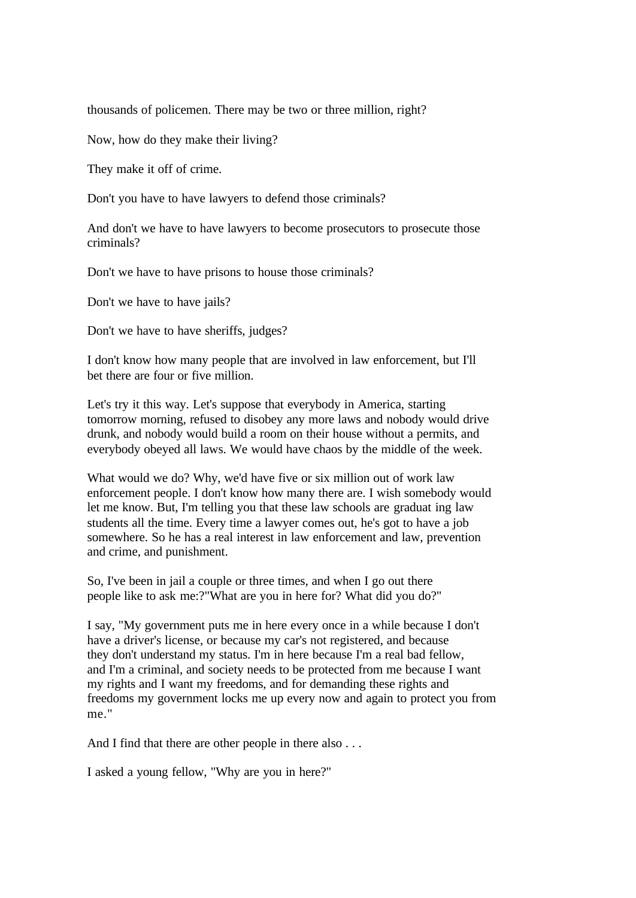thousands of policemen. There may be two or three million, right?

Now, how do they make their living?

They make it off of crime.

Don't you have to have lawyers to defend those criminals?

And don't we have to have lawyers to become prosecutors to prosecute those criminals?

Don't we have to have prisons to house those criminals?

Don't we have to have jails?

Don't we have to have sheriffs, judges?

I don't know how many people that are involved in law enforcement, but I'll bet there are four or five million.

Let's try it this way. Let's suppose that everybody in America, starting tomorrow morning, refused to disobey any more laws and nobody would drive drunk, and nobody would build a room on their house without a permits, and everybody obeyed all laws. We would have chaos by the middle of the week.

What would we do? Why, we'd have five or six million out of work law enforcement people. I don't know how many there are. I wish somebody would let me know. But, I'm telling you that these law schools are graduat ing law students all the time. Every time a lawyer comes out, he's got to have a job somewhere. So he has a real interest in law enforcement and law, prevention and crime, and punishment.

So, I've been in jail a couple or three times, and when I go out there people like to ask me:?"What are you in here for? What did you do?"

I say, "My government puts me in here every once in a while because I don't have a driver's license, or because my car's not registered, and because they don't understand my status. I'm in here because I'm a real bad fellow, and I'm a criminal, and society needs to be protected from me because I want my rights and I want my freedoms, and for demanding these rights and freedoms my government locks me up every now and again to protect you from me."

And I find that there are other people in there also . . .

I asked a young fellow, "Why are you in here?"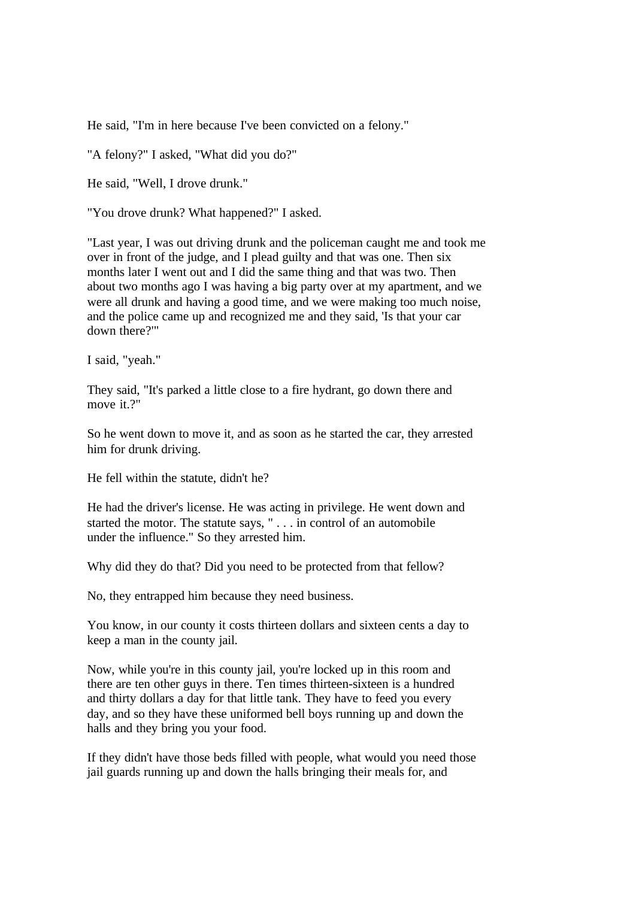He said, "I'm in here because I've been convicted on a felony."

"A felony?" I asked, "What did you do?"

He said, "Well, I drove drunk."

"You drove drunk? What happened?" I asked.

"Last year, I was out driving drunk and the policeman caught me and took me over in front of the judge, and I plead guilty and that was one. Then six months later I went out and I did the same thing and that was two. Then about two months ago I was having a big party over at my apartment, and we were all drunk and having a good time, and we were making too much noise, and the police came up and recognized me and they said, 'Is that your car down there?'"

I said, "yeah."

They said, "It's parked a little close to a fire hydrant, go down there and move it.?"

So he went down to move it, and as soon as he started the car, they arrested him for drunk driving.

He fell within the statute, didn't he?

He had the driver's license. He was acting in privilege. He went down and started the motor. The statute says, " . . . in control of an automobile under the influence." So they arrested him.

Why did they do that? Did you need to be protected from that fellow?

No, they entrapped him because they need business.

You know, in our county it costs thirteen dollars and sixteen cents a day to keep a man in the county jail.

Now, while you're in this county jail, you're locked up in this room and there are ten other guys in there. Ten times thirteen-sixteen is a hundred and thirty dollars a day for that little tank. They have to feed you every day, and so they have these uniformed bell boys running up and down the halls and they bring you your food.

If they didn't have those beds filled with people, what would you need those jail guards running up and down the halls bringing their meals for, and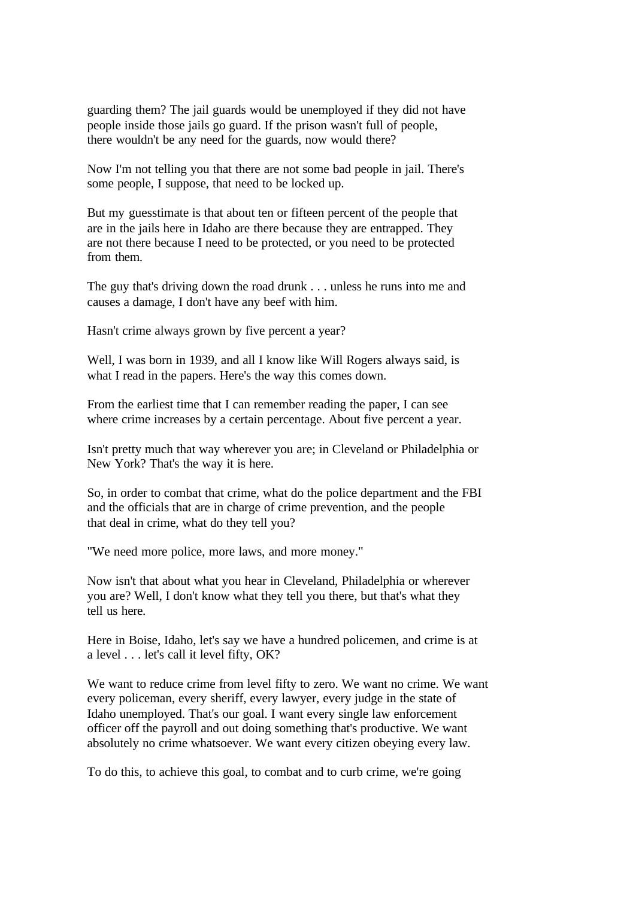guarding them? The jail guards would be unemployed if they did not have people inside those jails go guard. If the prison wasn't full of people, there wouldn't be any need for the guards, now would there?

Now I'm not telling you that there are not some bad people in jail. There's some people, I suppose, that need to be locked up.

But my guesstimate is that about ten or fifteen percent of the people that are in the jails here in Idaho are there because they are entrapped. They are not there because I need to be protected, or you need to be protected from them.

The guy that's driving down the road drunk . . . unless he runs into me and causes a damage, I don't have any beef with him.

Hasn't crime always grown by five percent a year?

Well, I was born in 1939, and all I know like Will Rogers always said, is what I read in the papers. Here's the way this comes down.

From the earliest time that I can remember reading the paper, I can see where crime increases by a certain percentage. About five percent a year.

Isn't pretty much that way wherever you are; in Cleveland or Philadelphia or New York? That's the way it is here.

So, in order to combat that crime, what do the police department and the FBI and the officials that are in charge of crime prevention, and the people that deal in crime, what do they tell you?

"We need more police, more laws, and more money."

Now isn't that about what you hear in Cleveland, Philadelphia or wherever you are? Well, I don't know what they tell you there, but that's what they tell us here.

Here in Boise, Idaho, let's say we have a hundred policemen, and crime is at a level . . . let's call it level fifty, OK?

We want to reduce crime from level fifty to zero. We want no crime. We want every policeman, every sheriff, every lawyer, every judge in the state of Idaho unemployed. That's our goal. I want every single law enforcement officer off the payroll and out doing something that's productive. We want absolutely no crime whatsoever. We want every citizen obeying every law.

To do this, to achieve this goal, to combat and to curb crime, we're going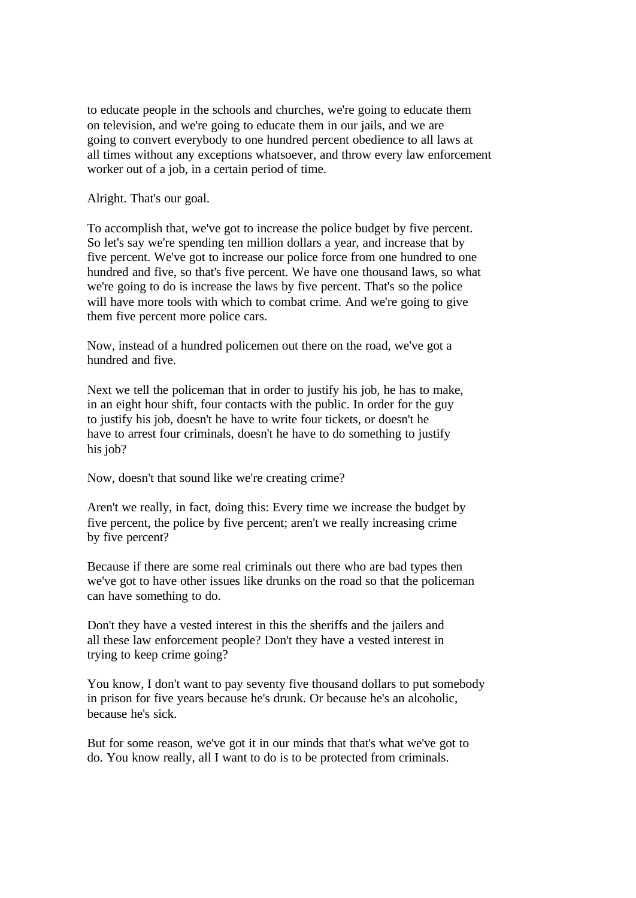to educate people in the schools and churches, we're going to educate them on television, and we're going to educate them in our jails, and we are going to convert everybody to one hundred percent obedience to all laws at all times without any exceptions whatsoever, and throw every law enforcement worker out of a job, in a certain period of time.

Alright. That's our goal.

To accomplish that, we've got to increase the police budget by five percent. So let's say we're spending ten million dollars a year, and increase that by five percent. We've got to increase our police force from one hundred to one hundred and five, so that's five percent. We have one thousand laws, so what we're going to do is increase the laws by five percent. That's so the police will have more tools with which to combat crime. And we're going to give them five percent more police cars.

Now, instead of a hundred policemen out there on the road, we've got a hundred and five.

Next we tell the policeman that in order to justify his job, he has to make, in an eight hour shift, four contacts with the public. In order for the guy to justify his job, doesn't he have to write four tickets, or doesn't he have to arrest four criminals, doesn't he have to do something to justify his job?

Now, doesn't that sound like we're creating crime?

Aren't we really, in fact, doing this: Every time we increase the budget by five percent, the police by five percent; aren't we really increasing crime by five percent?

Because if there are some real criminals out there who are bad types then we've got to have other issues like drunks on the road so that the policeman can have something to do.

Don't they have a vested interest in this the sheriffs and the jailers and all these law enforcement people? Don't they have a vested interest in trying to keep crime going?

You know, I don't want to pay seventy five thousand dollars to put somebody in prison for five years because he's drunk. Or because he's an alcoholic, because he's sick.

But for some reason, we've got it in our minds that that's what we've got to do. You know really, all I want to do is to be protected from criminals.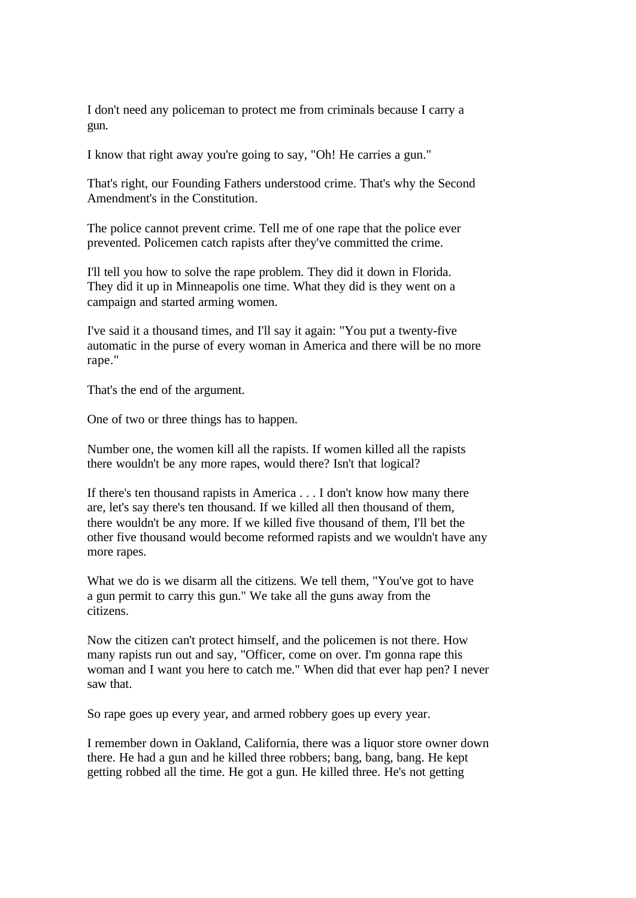I don't need any policeman to protect me from criminals because I carry a gun.

I know that right away you're going to say, "Oh! He carries a gun."

That's right, our Founding Fathers understood crime. That's why the Second Amendment's in the Constitution.

The police cannot prevent crime. Tell me of one rape that the police ever prevented. Policemen catch rapists after they've committed the crime.

I'll tell you how to solve the rape problem. They did it down in Florida. They did it up in Minneapolis one time. What they did is they went on a campaign and started arming women.

I've said it a thousand times, and I'll say it again: "You put a twenty-five automatic in the purse of every woman in America and there will be no more rape."

That's the end of the argument.

One of two or three things has to happen.

Number one, the women kill all the rapists. If women killed all the rapists there wouldn't be any more rapes, would there? Isn't that logical?

If there's ten thousand rapists in America . . . I don't know how many there are, let's say there's ten thousand. If we killed all then thousand of them, there wouldn't be any more. If we killed five thousand of them, I'll bet the other five thousand would become reformed rapists and we wouldn't have any more rapes.

What we do is we disarm all the citizens. We tell them, "You've got to have a gun permit to carry this gun." We take all the guns away from the citizens.

Now the citizen can't protect himself, and the policemen is not there. How many rapists run out and say, "Officer, come on over. I'm gonna rape this woman and I want you here to catch me." When did that ever hap pen? I never saw that.

So rape goes up every year, and armed robbery goes up every year.

I remember down in Oakland, California, there was a liquor store owner down there. He had a gun and he killed three robbers; bang, bang, bang. He kept getting robbed all the time. He got a gun. He killed three. He's not getting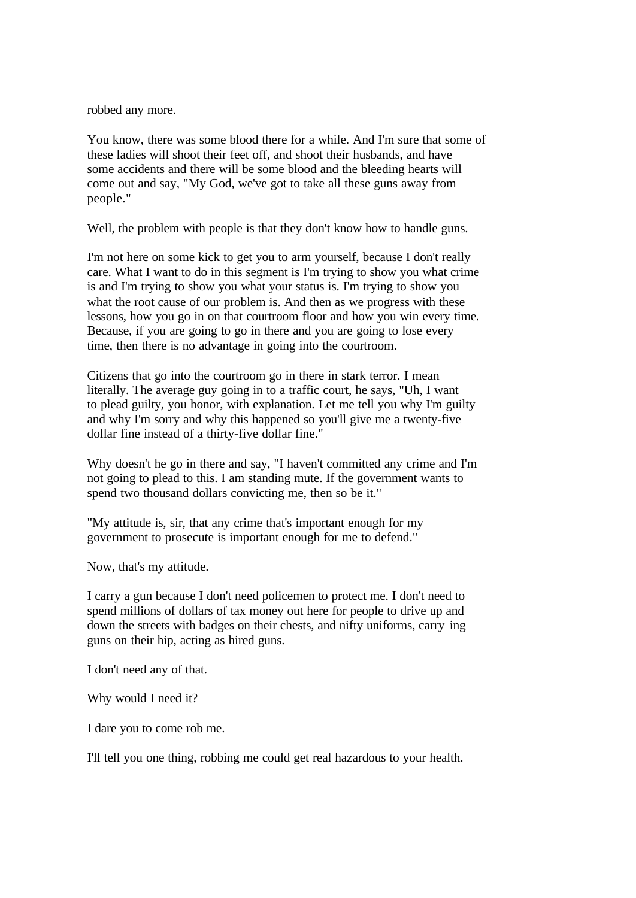robbed any more.

You know, there was some blood there for a while. And I'm sure that some of these ladies will shoot their feet off, and shoot their husbands, and have some accidents and there will be some blood and the bleeding hearts will come out and say, "My God, we've got to take all these guns away from people."

Well, the problem with people is that they don't know how to handle guns.

I'm not here on some kick to get you to arm yourself, because I don't really care. What I want to do in this segment is I'm trying to show you what crime is and I'm trying to show you what your status is. I'm trying to show you what the root cause of our problem is. And then as we progress with these lessons, how you go in on that courtroom floor and how you win every time. Because, if you are going to go in there and you are going to lose every time, then there is no advantage in going into the courtroom.

Citizens that go into the courtroom go in there in stark terror. I mean literally. The average guy going in to a traffic court, he says, "Uh, I want to plead guilty, you honor, with explanation. Let me tell you why I'm guilty and why I'm sorry and why this happened so you'll give me a twenty-five dollar fine instead of a thirty-five dollar fine."

Why doesn't he go in there and say, "I haven't committed any crime and I'm not going to plead to this. I am standing mute. If the government wants to spend two thousand dollars convicting me, then so be it."

"My attitude is, sir, that any crime that's important enough for my government to prosecute is important enough for me to defend."

Now, that's my attitude.

I carry a gun because I don't need policemen to protect me. I don't need to spend millions of dollars of tax money out here for people to drive up and down the streets with badges on their chests, and nifty uniforms, carry ing guns on their hip, acting as hired guns.

I don't need any of that.

Why would I need it?

I dare you to come rob me.

I'll tell you one thing, robbing me could get real hazardous to your health.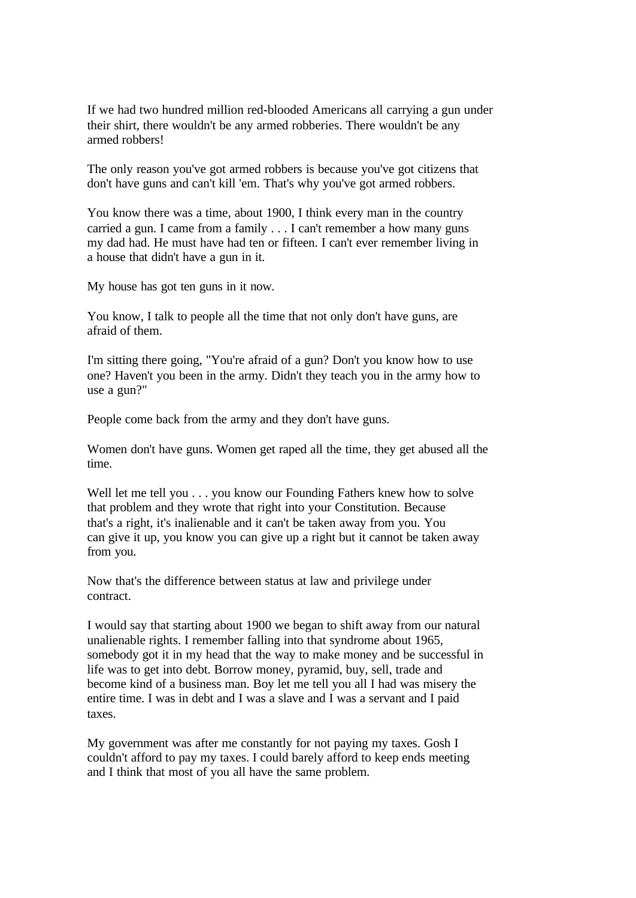If we had two hundred million red-blooded Americans all carrying a gun under their shirt, there wouldn't be any armed robberies. There wouldn't be any armed robbers!

The only reason you've got armed robbers is because you've got citizens that don't have guns and can't kill 'em. That's why you've got armed robbers.

You know there was a time, about 1900, I think every man in the country carried a gun. I came from a family . . . I can't remember a how many guns my dad had. He must have had ten or fifteen. I can't ever remember living in a house that didn't have a gun in it.

My house has got ten guns in it now.

You know, I talk to people all the time that not only don't have guns, are afraid of them.

I'm sitting there going, "You're afraid of a gun? Don't you know how to use one? Haven't you been in the army. Didn't they teach you in the army how to use a gun?"

People come back from the army and they don't have guns.

Women don't have guns. Women get raped all the time, they get abused all the time.

Well let me tell you . . . you know our Founding Fathers knew how to solve that problem and they wrote that right into your Constitution. Because that's a right, it's inalienable and it can't be taken away from you. You can give it up, you know you can give up a right but it cannot be taken away from you.

Now that's the difference between status at law and privilege under contract.

I would say that starting about 1900 we began to shift away from our natural unalienable rights. I remember falling into that syndrome about 1965, somebody got it in my head that the way to make money and be successful in life was to get into debt. Borrow money, pyramid, buy, sell, trade and become kind of a business man. Boy let me tell you all I had was misery the entire time. I was in debt and I was a slave and I was a servant and I paid taxes.

My government was after me constantly for not paying my taxes. Gosh I couldn't afford to pay my taxes. I could barely afford to keep ends meeting and I think that most of you all have the same problem.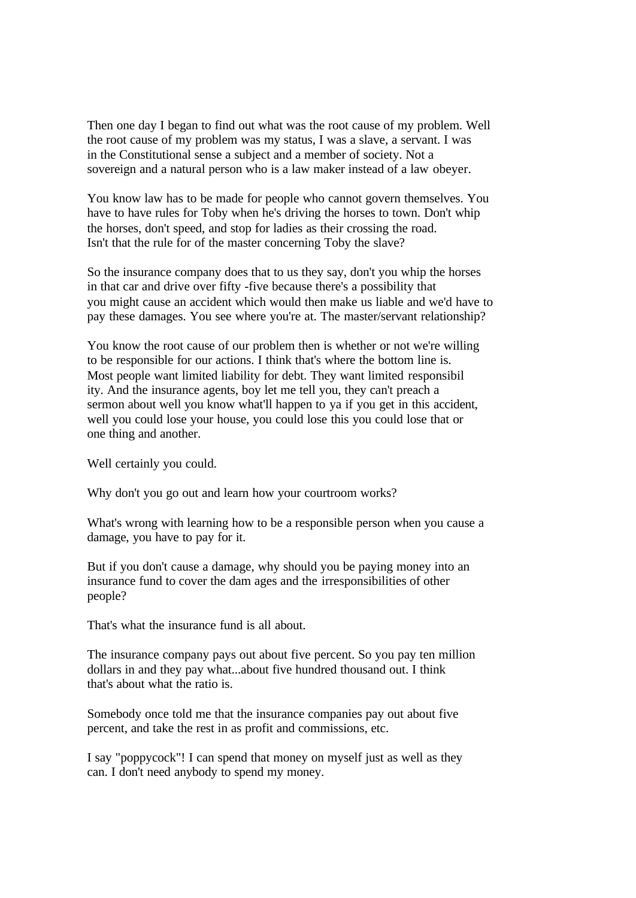Then one day I began to find out what was the root cause of my problem. Well the root cause of my problem was my status, I was a slave, a servant. I was in the Constitutional sense a subject and a member of society. Not a sovereign and a natural person who is a law maker instead of a law obeyer.

You know law has to be made for people who cannot govern themselves. You have to have rules for Toby when he's driving the horses to town. Don't whip the horses, don't speed, and stop for ladies as their crossing the road. Isn't that the rule for of the master concerning Toby the slave?

So the insurance company does that to us they say, don't you whip the horses in that car and drive over fifty -five because there's a possibility that you might cause an accident which would then make us liable and we'd have to pay these damages. You see where you're at. The master/servant relationship?

You know the root cause of our problem then is whether or not we're willing to be responsible for our actions. I think that's where the bottom line is. Most people want limited liability for debt. They want limited responsibil ity. And the insurance agents, boy let me tell you, they can't preach a sermon about well you know what'll happen to ya if you get in this accident, well you could lose your house, you could lose this you could lose that or one thing and another.

Well certainly you could.

Why don't you go out and learn how your courtroom works?

What's wrong with learning how to be a responsible person when you cause a damage, you have to pay for it.

But if you don't cause a damage, why should you be paying money into an insurance fund to cover the dam ages and the irresponsibilities of other people?

That's what the insurance fund is all about.

The insurance company pays out about five percent. So you pay ten million dollars in and they pay what...about five hundred thousand out. I think that's about what the ratio is.

Somebody once told me that the insurance companies pay out about five percent, and take the rest in as profit and commissions, etc.

I say "poppycock"! I can spend that money on myself just as well as they can. I don't need anybody to spend my money.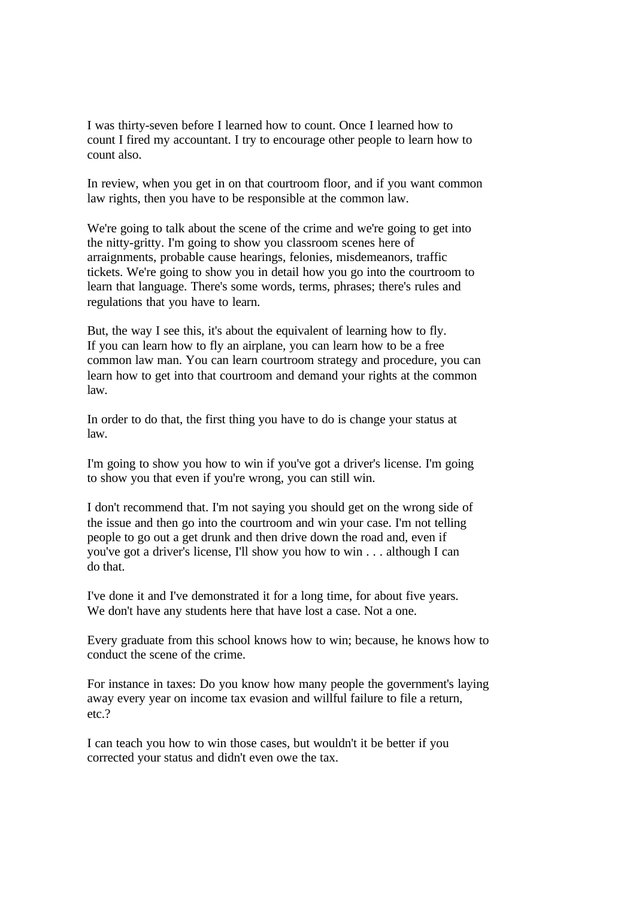I was thirty-seven before I learned how to count. Once I learned how to count I fired my accountant. I try to encourage other people to learn how to count also.

In review, when you get in on that courtroom floor, and if you want common law rights, then you have to be responsible at the common law.

We're going to talk about the scene of the crime and we're going to get into the nitty-gritty. I'm going to show you classroom scenes here of arraignments, probable cause hearings, felonies, misdemeanors, traffic tickets. We're going to show you in detail how you go into the courtroom to learn that language. There's some words, terms, phrases; there's rules and regulations that you have to learn.

But, the way I see this, it's about the equivalent of learning how to fly. If you can learn how to fly an airplane, you can learn how to be a free common law man. You can learn courtroom strategy and procedure, you can learn how to get into that courtroom and demand your rights at the common law.

In order to do that, the first thing you have to do is change your status at law.

I'm going to show you how to win if you've got a driver's license. I'm going to show you that even if you're wrong, you can still win.

I don't recommend that. I'm not saying you should get on the wrong side of the issue and then go into the courtroom and win your case. I'm not telling people to go out a get drunk and then drive down the road and, even if you've got a driver's license, I'll show you how to win . . . although I can do that.

I've done it and I've demonstrated it for a long time, for about five years. We don't have any students here that have lost a case. Not a one.

Every graduate from this school knows how to win; because, he knows how to conduct the scene of the crime.

For instance in taxes: Do you know how many people the government's laying away every year on income tax evasion and willful failure to file a return, etc.?

I can teach you how to win those cases, but wouldn't it be better if you corrected your status and didn't even owe the tax.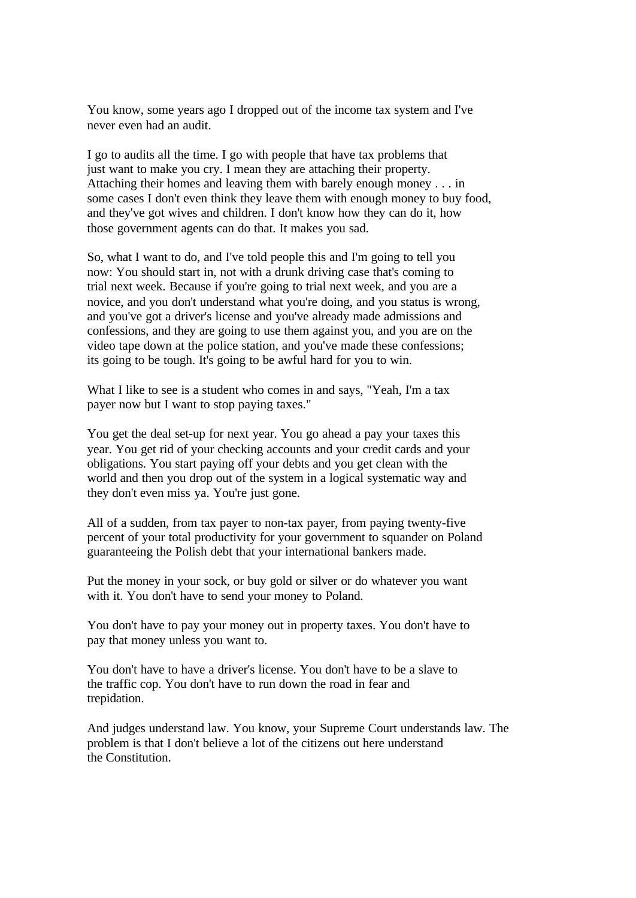You know, some years ago I dropped out of the income tax system and I've never even had an audit.

I go to audits all the time. I go with people that have tax problems that just want to make you cry. I mean they are attaching their property. Attaching their homes and leaving them with barely enough money . . . in some cases I don't even think they leave them with enough money to buy food, and they've got wives and children. I don't know how they can do it, how those government agents can do that. It makes you sad.

So, what I want to do, and I've told people this and I'm going to tell you now: You should start in, not with a drunk driving case that's coming to trial next week. Because if you're going to trial next week, and you are a novice, and you don't understand what you're doing, and you status is wrong, and you've got a driver's license and you've already made admissions and confessions, and they are going to use them against you, and you are on the video tape down at the police station, and you've made these confessions; its going to be tough. It's going to be awful hard for you to win.

What I like to see is a student who comes in and says, "Yeah, I'm a tax payer now but I want to stop paying taxes."

You get the deal set-up for next year. You go ahead a pay your taxes this year. You get rid of your checking accounts and your credit cards and your obligations. You start paying off your debts and you get clean with the world and then you drop out of the system in a logical systematic way and they don't even miss ya. You're just gone.

All of a sudden, from tax payer to non-tax payer, from paying twenty-five percent of your total productivity for your government to squander on Poland guaranteeing the Polish debt that your international bankers made.

Put the money in your sock, or buy gold or silver or do whatever you want with it. You don't have to send your money to Poland.

You don't have to pay your money out in property taxes. You don't have to pay that money unless you want to.

You don't have to have a driver's license. You don't have to be a slave to the traffic cop. You don't have to run down the road in fear and trepidation.

And judges understand law. You know, your Supreme Court understands law. The problem is that I don't believe a lot of the citizens out here understand the Constitution.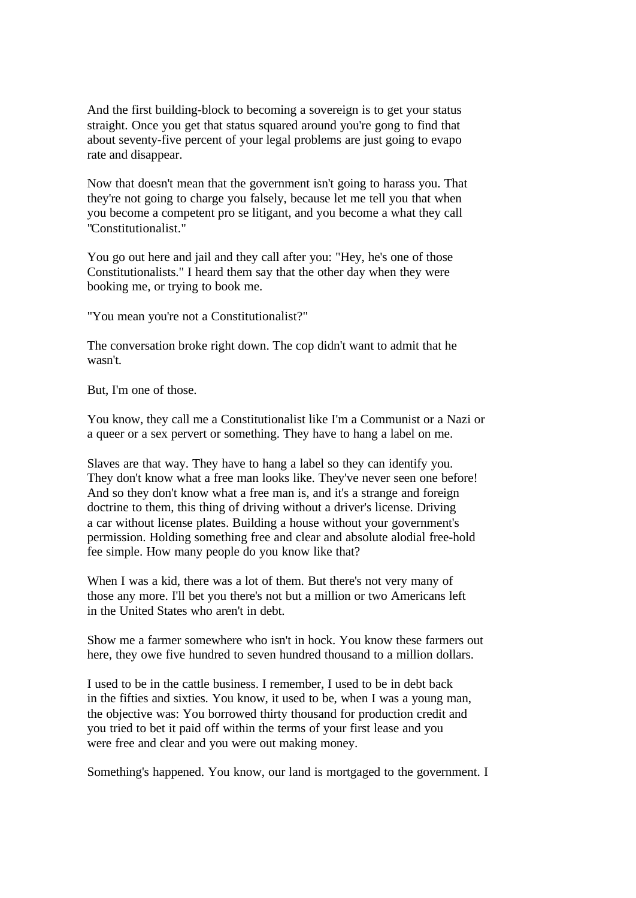And the first building-block to becoming a sovereign is to get your status straight. Once you get that status squared around you're gong to find that about seventy-five percent of your legal problems are just going to evapo rate and disappear.

Now that doesn't mean that the government isn't going to harass you. That they're not going to charge you falsely, because let me tell you that when you become a competent pro se litigant, and you become a what they call "Constitutionalist."

You go out here and jail and they call after you: "Hey, he's one of those Constitutionalists." I heard them say that the other day when they were booking me, or trying to book me.

"You mean you're not a Constitutionalist?"

The conversation broke right down. The cop didn't want to admit that he wasn't.

But, I'm one of those.

You know, they call me a Constitutionalist like I'm a Communist or a Nazi or a queer or a sex pervert or something. They have to hang a label on me.

Slaves are that way. They have to hang a label so they can identify you. They don't know what a free man looks like. They've never seen one before! And so they don't know what a free man is, and it's a strange and foreign doctrine to them, this thing of driving without a driver's license. Driving a car without license plates. Building a house without your government's permission. Holding something free and clear and absolute alodial free-hold fee simple. How many people do you know like that?

When I was a kid, there was a lot of them. But there's not very many of those any more. I'll bet you there's not but a million or two Americans left in the United States who aren't in debt.

Show me a farmer somewhere who isn't in hock. You know these farmers out here, they owe five hundred to seven hundred thousand to a million dollars.

I used to be in the cattle business. I remember, I used to be in debt back in the fifties and sixties. You know, it used to be, when I was a young man, the objective was: You borrowed thirty thousand for production credit and you tried to bet it paid off within the terms of your first lease and you were free and clear and you were out making money.

Something's happened. You know, our land is mortgaged to the government. I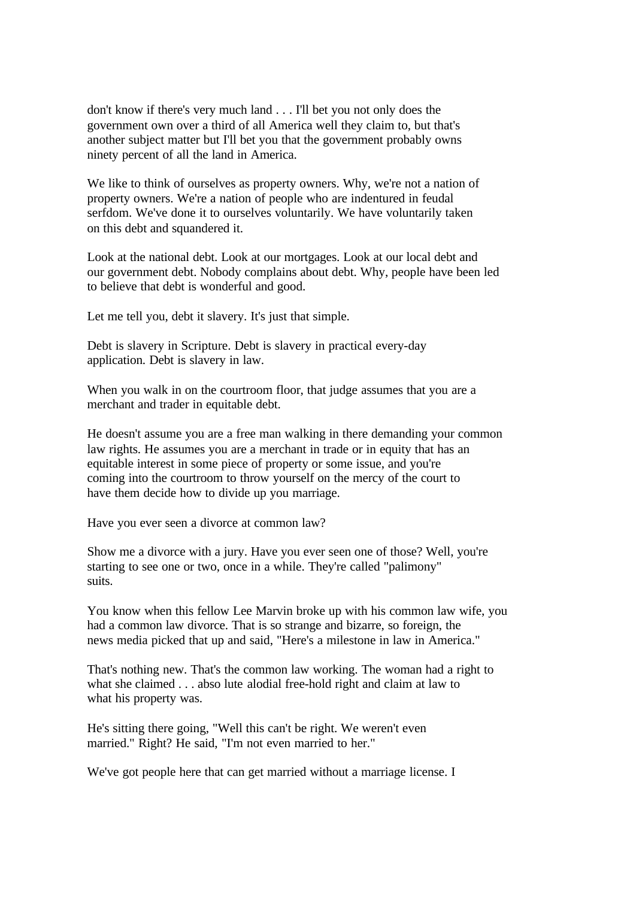don't know if there's very much land . . . I'll bet you not only does the government own over a third of all America well they claim to, but that's another subject matter but I'll bet you that the government probably owns ninety percent of all the land in America.

We like to think of ourselves as property owners. Why, we're not a nation of property owners. We're a nation of people who are indentured in feudal serfdom. We've done it to ourselves voluntarily. We have voluntarily taken on this debt and squandered it.

Look at the national debt. Look at our mortgages. Look at our local debt and our government debt. Nobody complains about debt. Why, people have been led to believe that debt is wonderful and good.

Let me tell you, debt it slavery. It's just that simple.

Debt is slavery in Scripture. Debt is slavery in practical every-day application. Debt is slavery in law.

When you walk in on the courtroom floor, that judge assumes that you are a merchant and trader in equitable debt.

He doesn't assume you are a free man walking in there demanding your common law rights. He assumes you are a merchant in trade or in equity that has an equitable interest in some piece of property or some issue, and you're coming into the courtroom to throw yourself on the mercy of the court to have them decide how to divide up you marriage.

Have you ever seen a divorce at common law?

Show me a divorce with a jury. Have you ever seen one of those? Well, you're starting to see one or two, once in a while. They're called "palimony" suits.

You know when this fellow Lee Marvin broke up with his common law wife, you had a common law divorce. That is so strange and bizarre, so foreign, the news media picked that up and said, "Here's a milestone in law in America."

That's nothing new. That's the common law working. The woman had a right to what she claimed . . . abso lute alodial free-hold right and claim at law to what his property was.

He's sitting there going, "Well this can't be right. We weren't even married." Right? He said, "I'm not even married to her."

We've got people here that can get married without a marriage license. I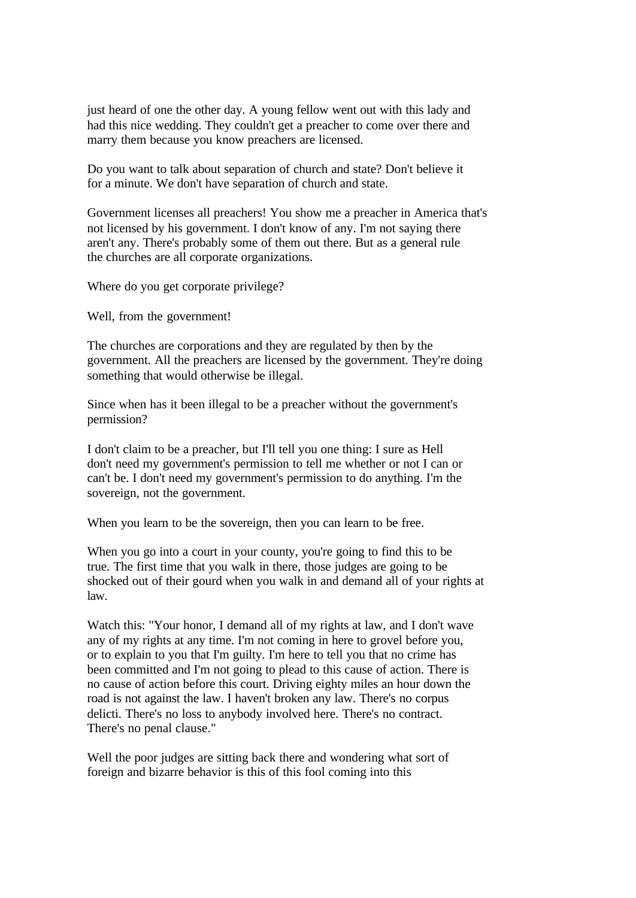just heard of one the other day. A young fellow went out with this lady and had this nice wedding. They couldn't get a preacher to come over there and marry them because you know preachers are licensed.

Do you want to talk about separation of church and state? Don't believe it for a minute. We don't have separation of church and state.

Government licenses all preachers! You show me a preacher in America that's not licensed by his government. I don't know of any. I'm not saying there aren't any. There's probably some of them out there. But as a general rule the churches are all corporate organizations.

Where do you get corporate privilege?

Well, from the government!

The churches are corporations and they are regulated by then by the government. All the preachers are licensed by the government. They're doing something that would otherwise be illegal.

Since when has it been illegal to be a preacher without the government's permission?

I don't claim to be a preacher, but I'll tell you one thing: I sure as Hell don't need my government's permission to tell me whether or not I can or can't be. I don't need my government's permission to do anything. I'm the sovereign, not the government.

When you learn to be the sovereign, then you can learn to be free.

When you go into a court in your county, you're going to find this to be true. The first time that you walk in there, those judges are going to be shocked out of their gourd when you walk in and demand all of your rights at law.

Watch this: "Your honor, I demand all of my rights at law, and I don't wave any of my rights at any time. I'm not coming in here to grovel before you, or to explain to you that I'm guilty. I'm here to tell you that no crime has been committed and I'm not going to plead to this cause of action. There is no cause of action before this court. Driving eighty miles an hour down the road is not against the law. I haven't broken any law. There's no corpus delicti. There's no loss to anybody involved here. There's no contract. There's no penal clause."

Well the poor judges are sitting back there and wondering what sort of foreign and bizarre behavior is this of this fool coming into this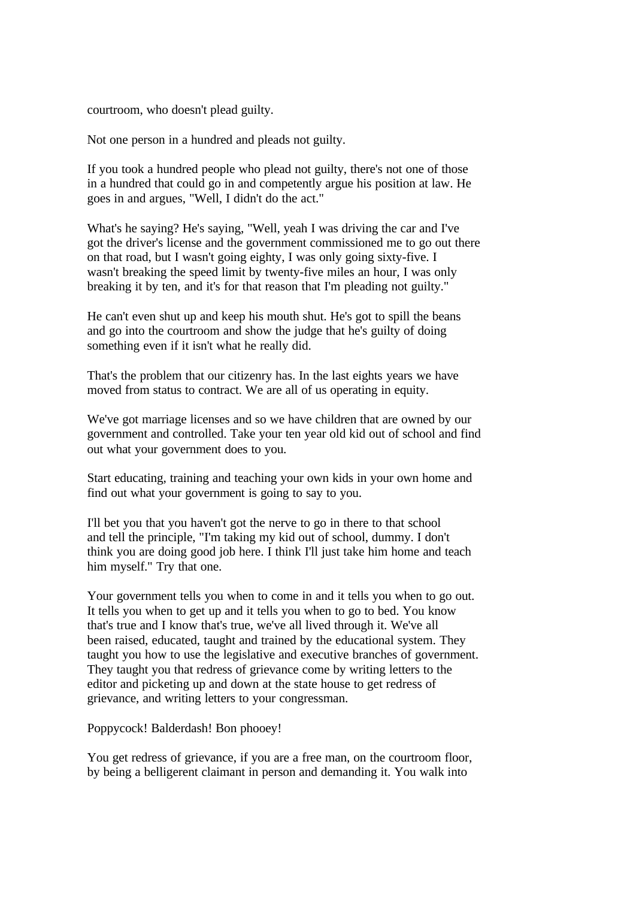courtroom, who doesn't plead guilty.

Not one person in a hundred and pleads not guilty.

If you took a hundred people who plead not guilty, there's not one of those in a hundred that could go in and competently argue his position at law. He goes in and argues, "Well, I didn't do the act."

What's he saying? He's saying, "Well, yeah I was driving the car and I've got the driver's license and the government commissioned me to go out there on that road, but I wasn't going eighty, I was only going sixty-five. I wasn't breaking the speed limit by twenty-five miles an hour, I was only breaking it by ten, and it's for that reason that I'm pleading not guilty."

He can't even shut up and keep his mouth shut. He's got to spill the beans and go into the courtroom and show the judge that he's guilty of doing something even if it isn't what he really did.

That's the problem that our citizenry has. In the last eights years we have moved from status to contract. We are all of us operating in equity.

We've got marriage licenses and so we have children that are owned by our government and controlled. Take your ten year old kid out of school and find out what your government does to you.

Start educating, training and teaching your own kids in your own home and find out what your government is going to say to you.

I'll bet you that you haven't got the nerve to go in there to that school and tell the principle, "I'm taking my kid out of school, dummy. I don't think you are doing good job here. I think I'll just take him home and teach him myself." Try that one.

Your government tells you when to come in and it tells you when to go out. It tells you when to get up and it tells you when to go to bed. You know that's true and I know that's true, we've all lived through it. We've all been raised, educated, taught and trained by the educational system. They taught you how to use the legislative and executive branches of government. They taught you that redress of grievance come by writing letters to the editor and picketing up and down at the state house to get redress of grievance, and writing letters to your congressman.

Poppycock! Balderdash! Bon phooey!

You get redress of grievance, if you are a free man, on the courtroom floor, by being a belligerent claimant in person and demanding it. You walk into